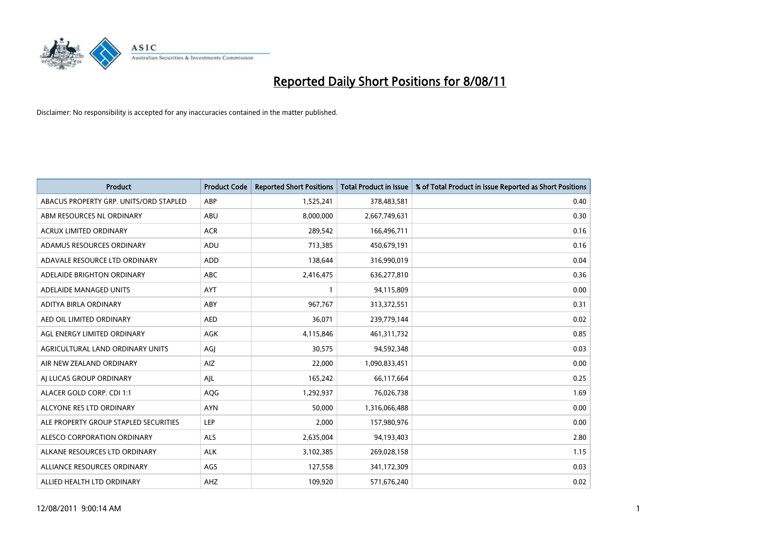

| <b>Product</b>                         | <b>Product Code</b> | <b>Reported Short Positions</b> | <b>Total Product in Issue</b> | % of Total Product in Issue Reported as Short Positions |
|----------------------------------------|---------------------|---------------------------------|-------------------------------|---------------------------------------------------------|
| ABACUS PROPERTY GRP. UNITS/ORD STAPLED | ABP                 | 1,525,241                       | 378,483,581                   | 0.40                                                    |
| ABM RESOURCES NL ORDINARY              | ABU                 | 8,000,000                       | 2,667,749,631                 | 0.30                                                    |
| <b>ACRUX LIMITED ORDINARY</b>          | <b>ACR</b>          | 289,542                         | 166,496,711                   | 0.16                                                    |
| ADAMUS RESOURCES ORDINARY              | ADU                 | 713,385                         | 450,679,191                   | 0.16                                                    |
| ADAVALE RESOURCE LTD ORDINARY          | <b>ADD</b>          | 138,644                         | 316,990,019                   | 0.04                                                    |
| ADELAIDE BRIGHTON ORDINARY             | <b>ABC</b>          | 2,416,475                       | 636,277,810                   | 0.36                                                    |
| ADELAIDE MANAGED UNITS                 | <b>AYT</b>          |                                 | 94,115,809                    | 0.00                                                    |
| ADITYA BIRLA ORDINARY                  | ABY                 | 967,767                         | 313,372,551                   | 0.31                                                    |
| AED OIL LIMITED ORDINARY               | <b>AED</b>          | 36,071                          | 239,779,144                   | 0.02                                                    |
| AGL ENERGY LIMITED ORDINARY            | <b>AGK</b>          | 4,115,846                       | 461,311,732                   | 0.85                                                    |
| AGRICULTURAL LAND ORDINARY UNITS       | AGJ                 | 30,575                          | 94,592,348                    | 0.03                                                    |
| AIR NEW ZEALAND ORDINARY               | AIZ                 | 22,000                          | 1,090,833,451                 | 0.00                                                    |
| AI LUCAS GROUP ORDINARY                | AJL                 | 165,242                         | 66,117,664                    | 0.25                                                    |
| ALACER GOLD CORP. CDI 1:1              | AQG                 | 1,292,937                       | 76,026,738                    | 1.69                                                    |
| ALCYONE RES LTD ORDINARY               | <b>AYN</b>          | 50,000                          | 1,316,066,488                 | 0.00                                                    |
| ALE PROPERTY GROUP STAPLED SECURITIES  | <b>LEP</b>          | 2,000                           | 157,980,976                   | 0.00                                                    |
| ALESCO CORPORATION ORDINARY            | <b>ALS</b>          | 2,635,004                       | 94,193,403                    | 2.80                                                    |
| ALKANE RESOURCES LTD ORDINARY          | <b>ALK</b>          | 3,102,385                       | 269,028,158                   | 1.15                                                    |
| ALLIANCE RESOURCES ORDINARY            | AGS                 | 127,558                         | 341,172,309                   | 0.03                                                    |
| ALLIED HEALTH LTD ORDINARY             | <b>AHZ</b>          | 109,920                         | 571,676,240                   | 0.02                                                    |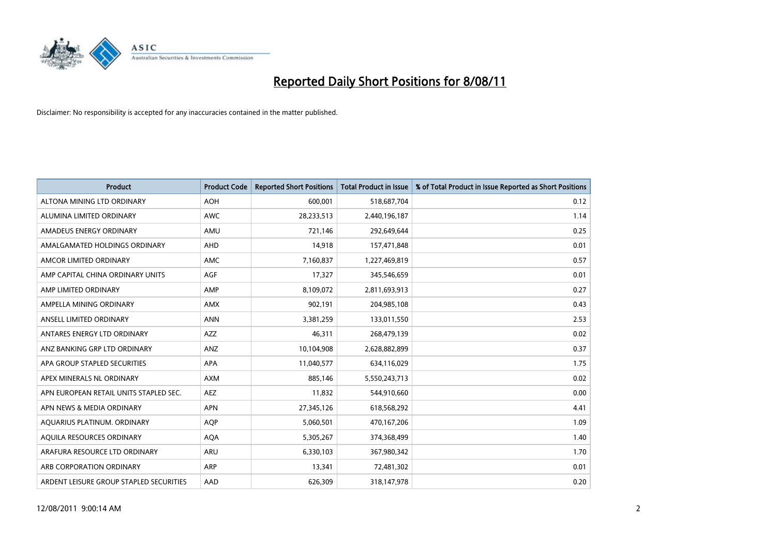

| <b>Product</b>                          | <b>Product Code</b> | <b>Reported Short Positions</b> | <b>Total Product in Issue</b> | % of Total Product in Issue Reported as Short Positions |
|-----------------------------------------|---------------------|---------------------------------|-------------------------------|---------------------------------------------------------|
| ALTONA MINING LTD ORDINARY              | <b>AOH</b>          | 600,001                         | 518,687,704                   | 0.12                                                    |
| ALUMINA LIMITED ORDINARY                | <b>AWC</b>          | 28,233,513                      | 2,440,196,187                 | 1.14                                                    |
| AMADEUS ENERGY ORDINARY                 | AMU                 | 721,146                         | 292,649,644                   | 0.25                                                    |
| AMALGAMATED HOLDINGS ORDINARY           | <b>AHD</b>          | 14,918                          | 157,471,848                   | 0.01                                                    |
| AMCOR LIMITED ORDINARY                  | <b>AMC</b>          | 7,160,837                       | 1,227,469,819                 | 0.57                                                    |
| AMP CAPITAL CHINA ORDINARY UNITS        | <b>AGF</b>          | 17,327                          | 345,546,659                   | 0.01                                                    |
| AMP LIMITED ORDINARY                    | AMP                 | 8,109,072                       | 2,811,693,913                 | 0.27                                                    |
| AMPELLA MINING ORDINARY                 | AMX                 | 902,191                         | 204,985,108                   | 0.43                                                    |
| ANSELL LIMITED ORDINARY                 | <b>ANN</b>          | 3,381,259                       | 133,011,550                   | 2.53                                                    |
| ANTARES ENERGY LTD ORDINARY             | <b>AZZ</b>          | 46,311                          | 268,479,139                   | 0.02                                                    |
| ANZ BANKING GRP LTD ORDINARY            | ANZ                 | 10,104,908                      | 2,628,882,899                 | 0.37                                                    |
| APA GROUP STAPLED SECURITIES            | <b>APA</b>          | 11,040,577                      | 634,116,029                   | 1.75                                                    |
| APEX MINERALS NL ORDINARY               | <b>AXM</b>          | 885,146                         | 5,550,243,713                 | 0.02                                                    |
| APN EUROPEAN RETAIL UNITS STAPLED SEC.  | <b>AEZ</b>          | 11,832                          | 544,910,660                   | 0.00                                                    |
| APN NEWS & MEDIA ORDINARY               | <b>APN</b>          | 27,345,126                      | 618,568,292                   | 4.41                                                    |
| AQUARIUS PLATINUM. ORDINARY             | <b>AOP</b>          | 5,060,501                       | 470,167,206                   | 1.09                                                    |
| AQUILA RESOURCES ORDINARY               | <b>AQA</b>          | 5,305,267                       | 374,368,499                   | 1.40                                                    |
| ARAFURA RESOURCE LTD ORDINARY           | <b>ARU</b>          | 6,330,103                       | 367,980,342                   | 1.70                                                    |
| ARB CORPORATION ORDINARY                | <b>ARP</b>          | 13,341                          | 72,481,302                    | 0.01                                                    |
| ARDENT LEISURE GROUP STAPLED SECURITIES | AAD                 | 626.309                         | 318,147,978                   | 0.20                                                    |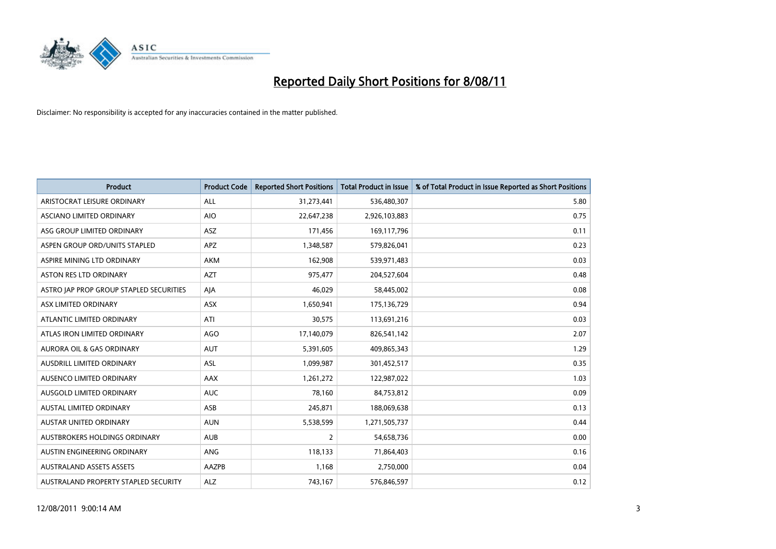

| <b>Product</b>                          | <b>Product Code</b> | <b>Reported Short Positions</b> | <b>Total Product in Issue</b> | % of Total Product in Issue Reported as Short Positions |
|-----------------------------------------|---------------------|---------------------------------|-------------------------------|---------------------------------------------------------|
| ARISTOCRAT LEISURE ORDINARY             | ALL                 | 31,273,441                      | 536,480,307                   | 5.80                                                    |
| ASCIANO LIMITED ORDINARY                | <b>AIO</b>          | 22,647,238                      | 2,926,103,883                 | 0.75                                                    |
| ASG GROUP LIMITED ORDINARY              | <b>ASZ</b>          | 171,456                         | 169,117,796                   | 0.11                                                    |
| ASPEN GROUP ORD/UNITS STAPLED           | <b>APZ</b>          | 1,348,587                       | 579,826,041                   | 0.23                                                    |
| ASPIRE MINING LTD ORDINARY              | <b>AKM</b>          | 162,908                         | 539,971,483                   | 0.03                                                    |
| <b>ASTON RES LTD ORDINARY</b>           | <b>AZT</b>          | 975,477                         | 204,527,604                   | 0.48                                                    |
| ASTRO JAP PROP GROUP STAPLED SECURITIES | AJA                 | 46,029                          | 58,445,002                    | 0.08                                                    |
| ASX LIMITED ORDINARY                    | <b>ASX</b>          | 1,650,941                       | 175,136,729                   | 0.94                                                    |
| ATLANTIC LIMITED ORDINARY               | ATI                 | 30,575                          | 113,691,216                   | 0.03                                                    |
| ATLAS IRON LIMITED ORDINARY             | <b>AGO</b>          | 17,140,079                      | 826,541,142                   | 2.07                                                    |
| AURORA OIL & GAS ORDINARY               | <b>AUT</b>          | 5,391,605                       | 409,865,343                   | 1.29                                                    |
| AUSDRILL LIMITED ORDINARY               | ASL                 | 1,099,987                       | 301,452,517                   | 0.35                                                    |
| AUSENCO LIMITED ORDINARY                | <b>AAX</b>          | 1,261,272                       | 122,987,022                   | 1.03                                                    |
| AUSGOLD LIMITED ORDINARY                | <b>AUC</b>          | 78,160                          | 84,753,812                    | 0.09                                                    |
| <b>AUSTAL LIMITED ORDINARY</b>          | ASB                 | 245,871                         | 188,069,638                   | 0.13                                                    |
| <b>AUSTAR UNITED ORDINARY</b>           | <b>AUN</b>          | 5,538,599                       | 1,271,505,737                 | 0.44                                                    |
| AUSTBROKERS HOLDINGS ORDINARY           | <b>AUB</b>          | $\overline{2}$                  | 54,658,736                    | 0.00                                                    |
| AUSTIN ENGINEERING ORDINARY             | ANG                 | 118,133                         | 71,864,403                    | 0.16                                                    |
| <b>AUSTRALAND ASSETS ASSETS</b>         | AAZPB               | 1,168                           | 2,750,000                     | 0.04                                                    |
| AUSTRALAND PROPERTY STAPLED SECURITY    | <b>ALZ</b>          | 743,167                         | 576,846,597                   | 0.12                                                    |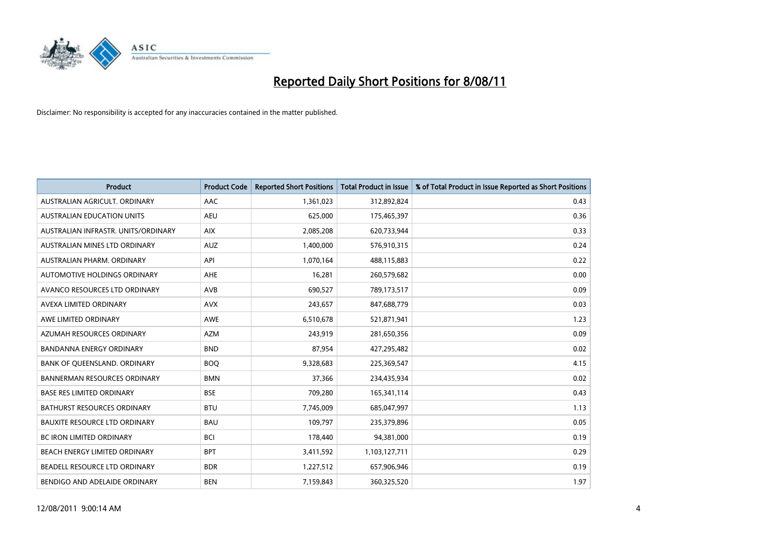

| <b>Product</b>                      | <b>Product Code</b> | <b>Reported Short Positions</b> | <b>Total Product in Issue</b> | % of Total Product in Issue Reported as Short Positions |
|-------------------------------------|---------------------|---------------------------------|-------------------------------|---------------------------------------------------------|
| AUSTRALIAN AGRICULT, ORDINARY       | AAC                 | 1,361,023                       | 312,892,824                   | 0.43                                                    |
| AUSTRALIAN EDUCATION UNITS          | <b>AEU</b>          | 625,000                         | 175,465,397                   | 0.36                                                    |
| AUSTRALIAN INFRASTR, UNITS/ORDINARY | <b>AIX</b>          | 2,085,208                       | 620,733,944                   | 0.33                                                    |
| AUSTRALIAN MINES LTD ORDINARY       | <b>AUZ</b>          | 1,400,000                       | 576,910,315                   | 0.24                                                    |
| AUSTRALIAN PHARM, ORDINARY          | API                 | 1,070,164                       | 488,115,883                   | 0.22                                                    |
| AUTOMOTIVE HOLDINGS ORDINARY        | AHE                 | 16,281                          | 260,579,682                   | 0.00                                                    |
| AVANCO RESOURCES LTD ORDINARY       | <b>AVB</b>          | 690,527                         | 789,173,517                   | 0.09                                                    |
| AVEXA LIMITED ORDINARY              | <b>AVX</b>          | 243,657                         | 847,688,779                   | 0.03                                                    |
| AWE LIMITED ORDINARY                | <b>AWE</b>          | 6,510,678                       | 521,871,941                   | 1.23                                                    |
| AZUMAH RESOURCES ORDINARY           | <b>AZM</b>          | 243,919                         | 281,650,356                   | 0.09                                                    |
| BANDANNA ENERGY ORDINARY            | <b>BND</b>          | 87,954                          | 427,295,482                   | 0.02                                                    |
| BANK OF QUEENSLAND. ORDINARY        | <b>BOQ</b>          | 9,328,683                       | 225,369,547                   | 4.15                                                    |
| <b>BANNERMAN RESOURCES ORDINARY</b> | <b>BMN</b>          | 37,366                          | 234,435,934                   | 0.02                                                    |
| <b>BASE RES LIMITED ORDINARY</b>    | <b>BSE</b>          | 709,280                         | 165,341,114                   | 0.43                                                    |
| <b>BATHURST RESOURCES ORDINARY</b>  | <b>BTU</b>          | 7,745,009                       | 685,047,997                   | 1.13                                                    |
| BAUXITE RESOURCE LTD ORDINARY       | <b>BAU</b>          | 109,797                         | 235,379,896                   | 0.05                                                    |
| BC IRON LIMITED ORDINARY            | <b>BCI</b>          | 178,440                         | 94,381,000                    | 0.19                                                    |
| BEACH ENERGY LIMITED ORDINARY       | <b>BPT</b>          | 3,411,592                       | 1,103,127,711                 | 0.29                                                    |
| BEADELL RESOURCE LTD ORDINARY       | <b>BDR</b>          | 1,227,512                       | 657,906,946                   | 0.19                                                    |
| BENDIGO AND ADELAIDE ORDINARY       | <b>BEN</b>          | 7,159,843                       | 360,325,520                   | 1.97                                                    |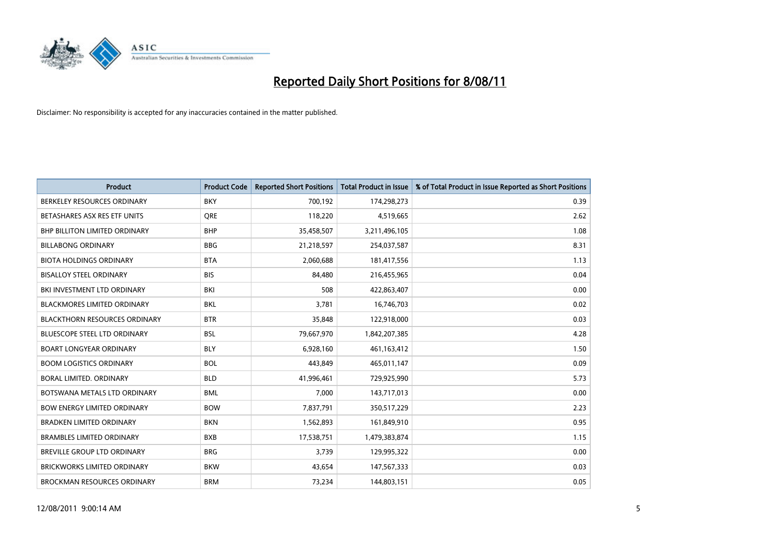

| <b>Product</b>                       | <b>Product Code</b> | <b>Reported Short Positions</b> | <b>Total Product in Issue</b> | % of Total Product in Issue Reported as Short Positions |
|--------------------------------------|---------------------|---------------------------------|-------------------------------|---------------------------------------------------------|
| BERKELEY RESOURCES ORDINARY          | <b>BKY</b>          | 700,192                         | 174,298,273                   | 0.39                                                    |
| BETASHARES ASX RES ETF UNITS         | <b>ORE</b>          | 118,220                         | 4,519,665                     | 2.62                                                    |
| <b>BHP BILLITON LIMITED ORDINARY</b> | <b>BHP</b>          | 35,458,507                      | 3,211,496,105                 | 1.08                                                    |
| <b>BILLABONG ORDINARY</b>            | <b>BBG</b>          | 21,218,597                      | 254,037,587                   | 8.31                                                    |
| <b>BIOTA HOLDINGS ORDINARY</b>       | <b>BTA</b>          | 2,060,688                       | 181,417,556                   | 1.13                                                    |
| <b>BISALLOY STEEL ORDINARY</b>       | <b>BIS</b>          | 84.480                          | 216,455,965                   | 0.04                                                    |
| BKI INVESTMENT LTD ORDINARY          | BKI                 | 508                             | 422,863,407                   | 0.00                                                    |
| <b>BLACKMORES LIMITED ORDINARY</b>   | <b>BKL</b>          | 3,781                           | 16,746,703                    | 0.02                                                    |
| <b>BLACKTHORN RESOURCES ORDINARY</b> | <b>BTR</b>          | 35,848                          | 122,918,000                   | 0.03                                                    |
| <b>BLUESCOPE STEEL LTD ORDINARY</b>  | <b>BSL</b>          | 79,667,970                      | 1,842,207,385                 | 4.28                                                    |
| <b>BOART LONGYEAR ORDINARY</b>       | <b>BLY</b>          | 6,928,160                       | 461,163,412                   | 1.50                                                    |
| <b>BOOM LOGISTICS ORDINARY</b>       | <b>BOL</b>          | 443,849                         | 465,011,147                   | 0.09                                                    |
| BORAL LIMITED, ORDINARY              | <b>BLD</b>          | 41,996,461                      | 729,925,990                   | 5.73                                                    |
| BOTSWANA METALS LTD ORDINARY         | <b>BML</b>          | 7,000                           | 143,717,013                   | 0.00                                                    |
| <b>BOW ENERGY LIMITED ORDINARY</b>   | <b>BOW</b>          | 7,837,791                       | 350,517,229                   | 2.23                                                    |
| <b>BRADKEN LIMITED ORDINARY</b>      | <b>BKN</b>          | 1,562,893                       | 161,849,910                   | 0.95                                                    |
| <b>BRAMBLES LIMITED ORDINARY</b>     | <b>BXB</b>          | 17,538,751                      | 1,479,383,874                 | 1.15                                                    |
| BREVILLE GROUP LTD ORDINARY          | <b>BRG</b>          | 3,739                           | 129,995,322                   | 0.00                                                    |
| <b>BRICKWORKS LIMITED ORDINARY</b>   | <b>BKW</b>          | 43,654                          | 147,567,333                   | 0.03                                                    |
| <b>BROCKMAN RESOURCES ORDINARY</b>   | <b>BRM</b>          | 73,234                          | 144,803,151                   | 0.05                                                    |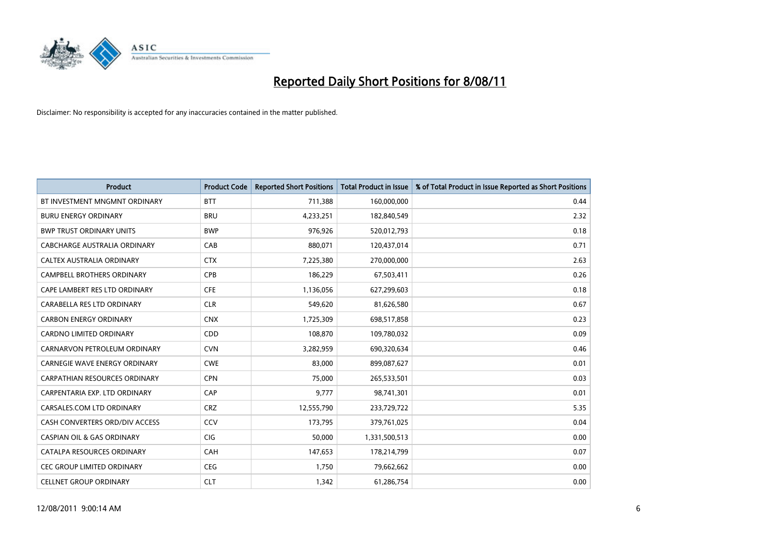

| <b>Product</b>                        | <b>Product Code</b> | <b>Reported Short Positions</b> | <b>Total Product in Issue</b> | % of Total Product in Issue Reported as Short Positions |
|---------------------------------------|---------------------|---------------------------------|-------------------------------|---------------------------------------------------------|
| BT INVESTMENT MNGMNT ORDINARY         | <b>BTT</b>          | 711,388                         | 160,000,000                   | 0.44                                                    |
| <b>BURU ENERGY ORDINARY</b>           | <b>BRU</b>          | 4,233,251                       | 182,840,549                   | 2.32                                                    |
| <b>BWP TRUST ORDINARY UNITS</b>       | <b>BWP</b>          | 976.926                         | 520,012,793                   | 0.18                                                    |
| CABCHARGE AUSTRALIA ORDINARY          | CAB                 | 880,071                         | 120,437,014                   | 0.71                                                    |
| CALTEX AUSTRALIA ORDINARY             | <b>CTX</b>          | 7,225,380                       | 270,000,000                   | 2.63                                                    |
| <b>CAMPBELL BROTHERS ORDINARY</b>     | <b>CPB</b>          | 186,229                         | 67,503,411                    | 0.26                                                    |
| CAPE LAMBERT RES LTD ORDINARY         | <b>CFE</b>          | 1,136,056                       | 627,299,603                   | 0.18                                                    |
| CARABELLA RES LTD ORDINARY            | <b>CLR</b>          | 549,620                         | 81,626,580                    | 0.67                                                    |
| <b>CARBON ENERGY ORDINARY</b>         | <b>CNX</b>          | 1,725,309                       | 698,517,858                   | 0.23                                                    |
| <b>CARDNO LIMITED ORDINARY</b>        | <b>CDD</b>          | 108,870                         | 109,780,032                   | 0.09                                                    |
| CARNARVON PETROLEUM ORDINARY          | <b>CVN</b>          | 3,282,959                       | 690,320,634                   | 0.46                                                    |
| <b>CARNEGIE WAVE ENERGY ORDINARY</b>  | <b>CWE</b>          | 83,000                          | 899,087,627                   | 0.01                                                    |
| CARPATHIAN RESOURCES ORDINARY         | <b>CPN</b>          | 75,000                          | 265,533,501                   | 0.03                                                    |
| CARPENTARIA EXP. LTD ORDINARY         | CAP                 | 9,777                           | 98,741,301                    | 0.01                                                    |
| CARSALES.COM LTD ORDINARY             | <b>CRZ</b>          | 12,555,790                      | 233,729,722                   | 5.35                                                    |
| CASH CONVERTERS ORD/DIV ACCESS        | CCV                 | 173,795                         | 379,761,025                   | 0.04                                                    |
| <b>CASPIAN OIL &amp; GAS ORDINARY</b> | <b>CIG</b>          | 50,000                          | 1,331,500,513                 | 0.00                                                    |
| CATALPA RESOURCES ORDINARY            | CAH                 | 147,653                         | 178,214,799                   | 0.07                                                    |
| CEC GROUP LIMITED ORDINARY            | <b>CEG</b>          | 1,750                           | 79,662,662                    | 0.00                                                    |
| <b>CELLNET GROUP ORDINARY</b>         | <b>CLT</b>          | 1,342                           | 61,286,754                    | 0.00                                                    |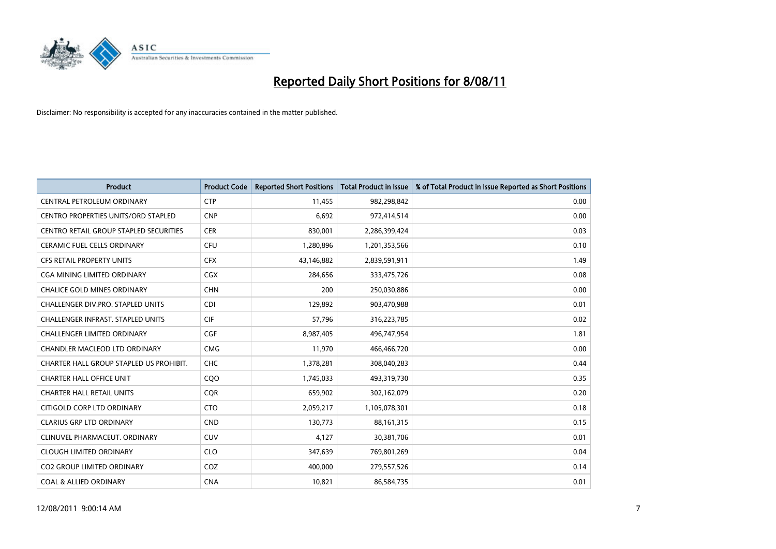

| <b>Product</b>                           | <b>Product Code</b> | <b>Reported Short Positions</b> | <b>Total Product in Issue</b> | % of Total Product in Issue Reported as Short Positions |
|------------------------------------------|---------------------|---------------------------------|-------------------------------|---------------------------------------------------------|
| CENTRAL PETROLEUM ORDINARY               | <b>CTP</b>          | 11,455                          | 982,298,842                   | 0.00                                                    |
| CENTRO PROPERTIES UNITS/ORD STAPLED      | <b>CNP</b>          | 6,692                           | 972,414,514                   | 0.00                                                    |
| CENTRO RETAIL GROUP STAPLED SECURITIES   | <b>CER</b>          | 830.001                         | 2,286,399,424                 | 0.03                                                    |
| CERAMIC FUEL CELLS ORDINARY              | <b>CFU</b>          | 1,280,896                       | 1,201,353,566                 | 0.10                                                    |
| <b>CFS RETAIL PROPERTY UNITS</b>         | <b>CFX</b>          | 43,146,882                      | 2,839,591,911                 | 1.49                                                    |
| CGA MINING LIMITED ORDINARY              | <b>CGX</b>          | 284,656                         | 333,475,726                   | 0.08                                                    |
| <b>CHALICE GOLD MINES ORDINARY</b>       | <b>CHN</b>          | 200                             | 250,030,886                   | 0.00                                                    |
| <b>CHALLENGER DIV.PRO. STAPLED UNITS</b> | <b>CDI</b>          | 129,892                         | 903,470,988                   | 0.01                                                    |
| <b>CHALLENGER INFRAST, STAPLED UNITS</b> | <b>CIF</b>          | 57,796                          | 316,223,785                   | 0.02                                                    |
| <b>CHALLENGER LIMITED ORDINARY</b>       | CGF                 | 8,987,405                       | 496,747,954                   | 1.81                                                    |
| CHANDLER MACLEOD LTD ORDINARY            | <b>CMG</b>          | 11,970                          | 466,466,720                   | 0.00                                                    |
| CHARTER HALL GROUP STAPLED US PROHIBIT.  | <b>CHC</b>          | 1,378,281                       | 308,040,283                   | 0.44                                                    |
| <b>CHARTER HALL OFFICE UNIT</b>          | CQ <sub>O</sub>     | 1,745,033                       | 493,319,730                   | 0.35                                                    |
| CHARTER HALL RETAIL UNITS                | <b>COR</b>          | 659,902                         | 302,162,079                   | 0.20                                                    |
| CITIGOLD CORP LTD ORDINARY               | <b>CTO</b>          | 2,059,217                       | 1,105,078,301                 | 0.18                                                    |
| <b>CLARIUS GRP LTD ORDINARY</b>          | <b>CND</b>          | 130,773                         | 88,161,315                    | 0.15                                                    |
| CLINUVEL PHARMACEUT. ORDINARY            | <b>CUV</b>          | 4,127                           | 30,381,706                    | 0.01                                                    |
| <b>CLOUGH LIMITED ORDINARY</b>           | <b>CLO</b>          | 347,639                         | 769,801,269                   | 0.04                                                    |
| <b>CO2 GROUP LIMITED ORDINARY</b>        | COZ                 | 400,000                         | 279,557,526                   | 0.14                                                    |
| <b>COAL &amp; ALLIED ORDINARY</b>        | <b>CNA</b>          | 10,821                          | 86,584,735                    | 0.01                                                    |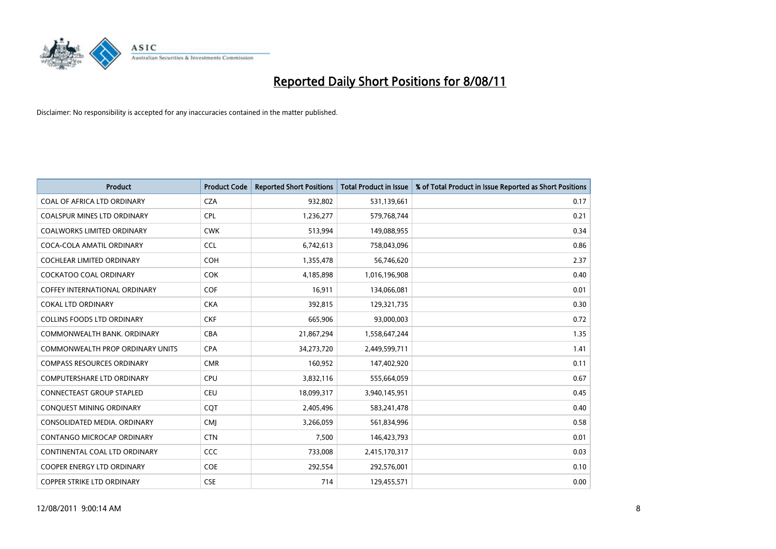

| <b>Product</b>                       | <b>Product Code</b> | <b>Reported Short Positions</b> | <b>Total Product in Issue</b> | % of Total Product in Issue Reported as Short Positions |
|--------------------------------------|---------------------|---------------------------------|-------------------------------|---------------------------------------------------------|
| COAL OF AFRICA LTD ORDINARY          | <b>CZA</b>          | 932,802                         | 531,139,661                   | 0.17                                                    |
| COALSPUR MINES LTD ORDINARY          | <b>CPL</b>          | 1,236,277                       | 579,768,744                   | 0.21                                                    |
| <b>COALWORKS LIMITED ORDINARY</b>    | <b>CWK</b>          | 513,994                         | 149,088,955                   | 0.34                                                    |
| COCA-COLA AMATIL ORDINARY            | <b>CCL</b>          | 6,742,613                       | 758,043,096                   | 0.86                                                    |
| COCHLEAR LIMITED ORDINARY            | <b>COH</b>          | 1,355,478                       | 56,746,620                    | 2.37                                                    |
| <b>COCKATOO COAL ORDINARY</b>        | <b>COK</b>          | 4,185,898                       | 1,016,196,908                 | 0.40                                                    |
| <b>COFFEY INTERNATIONAL ORDINARY</b> | COF                 | 16,911                          | 134,066,081                   | 0.01                                                    |
| <b>COKAL LTD ORDINARY</b>            | <b>CKA</b>          | 392,815                         | 129,321,735                   | 0.30                                                    |
| COLLINS FOODS LTD ORDINARY           | <b>CKF</b>          | 665,906                         | 93,000,003                    | 0.72                                                    |
| COMMONWEALTH BANK, ORDINARY          | <b>CBA</b>          | 21,867,294                      | 1,558,647,244                 | 1.35                                                    |
| COMMONWEALTH PROP ORDINARY UNITS     | <b>CPA</b>          | 34,273,720                      | 2,449,599,711                 | 1.41                                                    |
| <b>COMPASS RESOURCES ORDINARY</b>    | <b>CMR</b>          | 160,952                         | 147,402,920                   | 0.11                                                    |
| <b>COMPUTERSHARE LTD ORDINARY</b>    | <b>CPU</b>          | 3,832,116                       | 555,664,059                   | 0.67                                                    |
| CONNECTEAST GROUP STAPLED            | <b>CEU</b>          | 18,099,317                      | 3,940,145,951                 | 0.45                                                    |
| CONQUEST MINING ORDINARY             | CQT                 | 2,405,496                       | 583,241,478                   | 0.40                                                    |
| CONSOLIDATED MEDIA. ORDINARY         | <b>CMI</b>          | 3,266,059                       | 561,834,996                   | 0.58                                                    |
| CONTANGO MICROCAP ORDINARY           | <b>CTN</b>          | 7,500                           | 146,423,793                   | 0.01                                                    |
| CONTINENTAL COAL LTD ORDINARY        | CCC                 | 733,008                         | 2,415,170,317                 | 0.03                                                    |
| <b>COOPER ENERGY LTD ORDINARY</b>    | <b>COE</b>          | 292,554                         | 292,576,001                   | 0.10                                                    |
| <b>COPPER STRIKE LTD ORDINARY</b>    | <b>CSE</b>          | 714                             | 129,455,571                   | 0.00                                                    |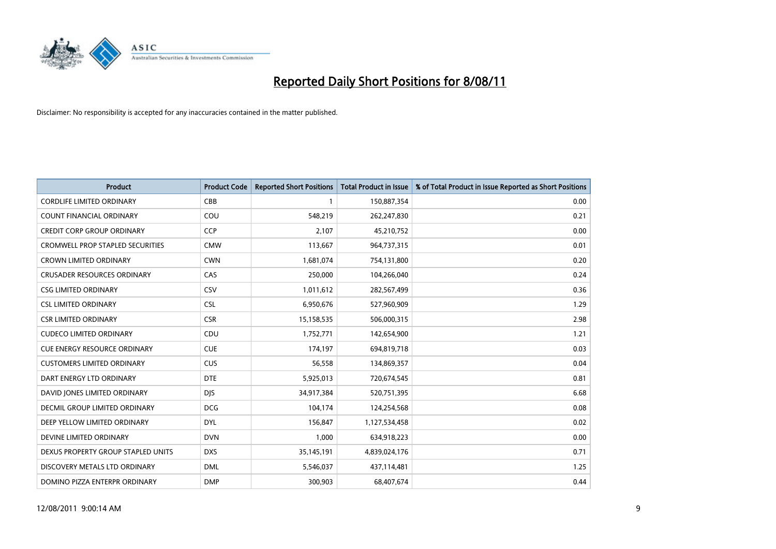

| <b>Product</b>                          | <b>Product Code</b> | <b>Reported Short Positions</b> | <b>Total Product in Issue</b> | % of Total Product in Issue Reported as Short Positions |
|-----------------------------------------|---------------------|---------------------------------|-------------------------------|---------------------------------------------------------|
| <b>CORDLIFE LIMITED ORDINARY</b>        | CBB                 |                                 | 150,887,354                   | 0.00                                                    |
| COUNT FINANCIAL ORDINARY                | COU                 | 548,219                         | 262,247,830                   | 0.21                                                    |
| <b>CREDIT CORP GROUP ORDINARY</b>       | <b>CCP</b>          | 2.107                           | 45,210,752                    | 0.00                                                    |
| <b>CROMWELL PROP STAPLED SECURITIES</b> | <b>CMW</b>          | 113,667                         | 964,737,315                   | 0.01                                                    |
| <b>CROWN LIMITED ORDINARY</b>           | <b>CWN</b>          | 1,681,074                       | 754,131,800                   | 0.20                                                    |
| <b>CRUSADER RESOURCES ORDINARY</b>      | CAS                 | 250,000                         | 104,266,040                   | 0.24                                                    |
| <b>CSG LIMITED ORDINARY</b>             | CSV                 | 1,011,612                       | 282,567,499                   | 0.36                                                    |
| <b>CSL LIMITED ORDINARY</b>             | <b>CSL</b>          | 6,950,676                       | 527,960,909                   | 1.29                                                    |
| <b>CSR LIMITED ORDINARY</b>             | <b>CSR</b>          | 15,158,535                      | 506,000,315                   | 2.98                                                    |
| <b>CUDECO LIMITED ORDINARY</b>          | CDU                 | 1,752,771                       | 142,654,900                   | 1.21                                                    |
| <b>CUE ENERGY RESOURCE ORDINARY</b>     | <b>CUE</b>          | 174,197                         | 694,819,718                   | 0.03                                                    |
| <b>CUSTOMERS LIMITED ORDINARY</b>       | <b>CUS</b>          | 56,558                          | 134,869,357                   | 0.04                                                    |
| DART ENERGY LTD ORDINARY                | <b>DTE</b>          | 5,925,013                       | 720,674,545                   | 0.81                                                    |
| DAVID JONES LIMITED ORDINARY            | <b>DIS</b>          | 34,917,384                      | 520,751,395                   | 6.68                                                    |
| DECMIL GROUP LIMITED ORDINARY           | <b>DCG</b>          | 104,174                         | 124,254,568                   | 0.08                                                    |
| DEEP YELLOW LIMITED ORDINARY            | <b>DYL</b>          | 156,847                         | 1,127,534,458                 | 0.02                                                    |
| DEVINE LIMITED ORDINARY                 | <b>DVN</b>          | 1,000                           | 634,918,223                   | 0.00                                                    |
| DEXUS PROPERTY GROUP STAPLED UNITS      | <b>DXS</b>          | 35,145,191                      | 4,839,024,176                 | 0.71                                                    |
| DISCOVERY METALS LTD ORDINARY           | <b>DML</b>          | 5,546,037                       | 437,114,481                   | 1.25                                                    |
| DOMINO PIZZA ENTERPR ORDINARY           | <b>DMP</b>          | 300,903                         | 68,407,674                    | 0.44                                                    |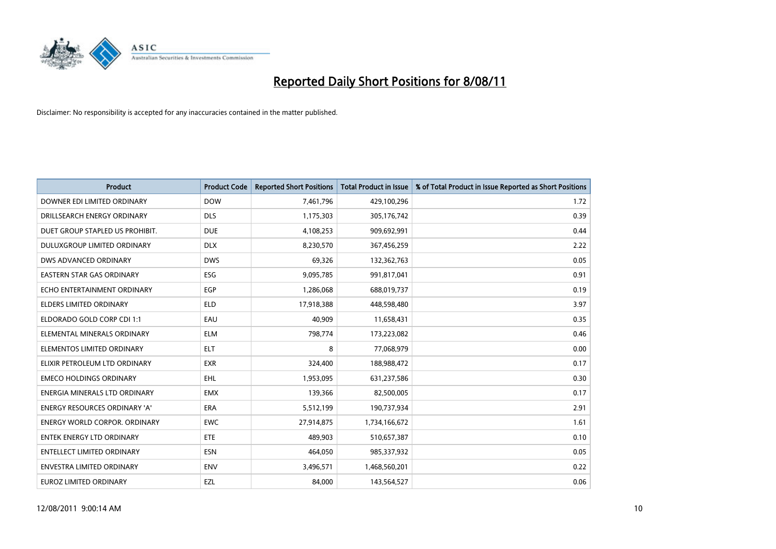

| <b>Product</b>                       | <b>Product Code</b> | <b>Reported Short Positions</b> | <b>Total Product in Issue</b> | % of Total Product in Issue Reported as Short Positions |
|--------------------------------------|---------------------|---------------------------------|-------------------------------|---------------------------------------------------------|
| DOWNER EDI LIMITED ORDINARY          | <b>DOW</b>          | 7,461,796                       | 429,100,296                   | 1.72                                                    |
| DRILLSEARCH ENERGY ORDINARY          | <b>DLS</b>          | 1,175,303                       | 305,176,742                   | 0.39                                                    |
| DUET GROUP STAPLED US PROHIBIT.      | <b>DUE</b>          | 4,108,253                       | 909,692,991                   | 0.44                                                    |
| DULUXGROUP LIMITED ORDINARY          | <b>DLX</b>          | 8,230,570                       | 367,456,259                   | 2.22                                                    |
| DWS ADVANCED ORDINARY                | <b>DWS</b>          | 69,326                          | 132,362,763                   | 0.05                                                    |
| <b>EASTERN STAR GAS ORDINARY</b>     | ESG                 | 9,095,785                       | 991,817,041                   | 0.91                                                    |
| ECHO ENTERTAINMENT ORDINARY          | <b>EGP</b>          | 1,286,068                       | 688,019,737                   | 0.19                                                    |
| <b>ELDERS LIMITED ORDINARY</b>       | <b>ELD</b>          | 17,918,388                      | 448,598,480                   | 3.97                                                    |
| ELDORADO GOLD CORP CDI 1:1           | EAU                 | 40,909                          | 11,658,431                    | 0.35                                                    |
| ELEMENTAL MINERALS ORDINARY          | <b>ELM</b>          | 798,774                         | 173,223,082                   | 0.46                                                    |
| ELEMENTOS LIMITED ORDINARY           | <b>ELT</b>          | 8                               | 77,068,979                    | 0.00                                                    |
| ELIXIR PETROLEUM LTD ORDINARY        | <b>EXR</b>          | 324,400                         | 188,988,472                   | 0.17                                                    |
| <b>EMECO HOLDINGS ORDINARY</b>       | <b>EHL</b>          | 1,953,095                       | 631,237,586                   | 0.30                                                    |
| <b>ENERGIA MINERALS LTD ORDINARY</b> | <b>EMX</b>          | 139,366                         | 82,500,005                    | 0.17                                                    |
| ENERGY RESOURCES ORDINARY 'A'        | ERA                 | 5,512,199                       | 190,737,934                   | 2.91                                                    |
| <b>ENERGY WORLD CORPOR, ORDINARY</b> | <b>EWC</b>          | 27,914,875                      | 1,734,166,672                 | 1.61                                                    |
| <b>ENTEK ENERGY LTD ORDINARY</b>     | ETE                 | 489,903                         | 510,657,387                   | 0.10                                                    |
| <b>ENTELLECT LIMITED ORDINARY</b>    | <b>ESN</b>          | 464,050                         | 985,337,932                   | 0.05                                                    |
| <b>ENVESTRA LIMITED ORDINARY</b>     | <b>ENV</b>          | 3,496,571                       | 1,468,560,201                 | 0.22                                                    |
| <b>EUROZ LIMITED ORDINARY</b>        | EZL                 | 84.000                          | 143,564,527                   | 0.06                                                    |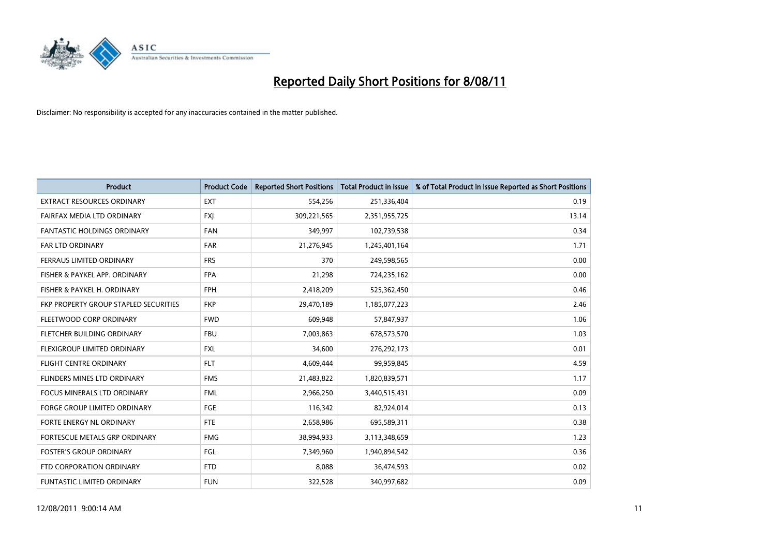

| <b>Product</b>                        | <b>Product Code</b> | <b>Reported Short Positions</b> | <b>Total Product in Issue</b> | % of Total Product in Issue Reported as Short Positions |
|---------------------------------------|---------------------|---------------------------------|-------------------------------|---------------------------------------------------------|
| <b>EXTRACT RESOURCES ORDINARY</b>     | <b>EXT</b>          | 554,256                         | 251,336,404                   | 0.19                                                    |
| FAIRFAX MEDIA LTD ORDINARY            | <b>FXI</b>          | 309,221,565                     | 2,351,955,725                 | 13.14                                                   |
| <b>FANTASTIC HOLDINGS ORDINARY</b>    | <b>FAN</b>          | 349,997                         | 102,739,538                   | 0.34                                                    |
| FAR LTD ORDINARY                      | <b>FAR</b>          | 21,276,945                      | 1,245,401,164                 | 1.71                                                    |
| FERRAUS LIMITED ORDINARY              | <b>FRS</b>          | 370                             | 249,598,565                   | 0.00                                                    |
| FISHER & PAYKEL APP. ORDINARY         | <b>FPA</b>          | 21,298                          | 724,235,162                   | 0.00                                                    |
| FISHER & PAYKEL H. ORDINARY           | <b>FPH</b>          | 2,418,209                       | 525,362,450                   | 0.46                                                    |
| FKP PROPERTY GROUP STAPLED SECURITIES | <b>FKP</b>          | 29,470,189                      | 1,185,077,223                 | 2.46                                                    |
| FLEETWOOD CORP ORDINARY               | <b>FWD</b>          | 609,948                         | 57,847,937                    | 1.06                                                    |
| FLETCHER BUILDING ORDINARY            | <b>FBU</b>          | 7,003,863                       | 678,573,570                   | 1.03                                                    |
| FLEXIGROUP LIMITED ORDINARY           | <b>FXL</b>          | 34,600                          | 276,292,173                   | 0.01                                                    |
| <b>FLIGHT CENTRE ORDINARY</b>         | <b>FLT</b>          | 4,609,444                       | 99,959,845                    | 4.59                                                    |
| FLINDERS MINES LTD ORDINARY           | <b>FMS</b>          | 21,483,822                      | 1,820,839,571                 | 1.17                                                    |
| <b>FOCUS MINERALS LTD ORDINARY</b>    | <b>FML</b>          | 2,966,250                       | 3,440,515,431                 | 0.09                                                    |
| <b>FORGE GROUP LIMITED ORDINARY</b>   | <b>FGE</b>          | 116,342                         | 82,924,014                    | 0.13                                                    |
| FORTE ENERGY NL ORDINARY              | <b>FTE</b>          | 2,658,986                       | 695,589,311                   | 0.38                                                    |
| FORTESCUE METALS GRP ORDINARY         | <b>FMG</b>          | 38,994,933                      | 3,113,348,659                 | 1.23                                                    |
| <b>FOSTER'S GROUP ORDINARY</b>        | FGL                 | 7,349,960                       | 1,940,894,542                 | 0.36                                                    |
| FTD CORPORATION ORDINARY              | <b>FTD</b>          | 8,088                           | 36,474,593                    | 0.02                                                    |
| <b>FUNTASTIC LIMITED ORDINARY</b>     | <b>FUN</b>          | 322,528                         | 340,997,682                   | 0.09                                                    |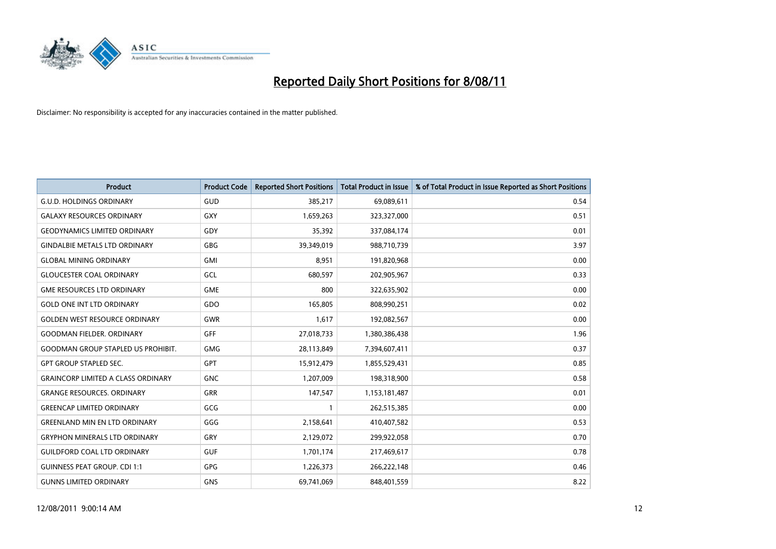

| <b>Product</b>                            | <b>Product Code</b> | <b>Reported Short Positions</b> | <b>Total Product in Issue</b> | % of Total Product in Issue Reported as Short Positions |
|-------------------------------------------|---------------------|---------------------------------|-------------------------------|---------------------------------------------------------|
| <b>G.U.D. HOLDINGS ORDINARY</b>           | <b>GUD</b>          | 385,217                         | 69,089,611                    | 0.54                                                    |
| <b>GALAXY RESOURCES ORDINARY</b>          | GXY                 | 1,659,263                       | 323,327,000                   | 0.51                                                    |
| <b>GEODYNAMICS LIMITED ORDINARY</b>       | GDY                 | 35.392                          | 337,084,174                   | 0.01                                                    |
| <b>GINDALBIE METALS LTD ORDINARY</b>      | GBG                 | 39,349,019                      | 988,710,739                   | 3.97                                                    |
| <b>GLOBAL MINING ORDINARY</b>             | <b>GMI</b>          | 8,951                           | 191,820,968                   | 0.00                                                    |
| <b>GLOUCESTER COAL ORDINARY</b>           | GCL                 | 680,597                         | 202,905,967                   | 0.33                                                    |
| <b>GME RESOURCES LTD ORDINARY</b>         | <b>GME</b>          | 800                             | 322,635,902                   | 0.00                                                    |
| <b>GOLD ONE INT LTD ORDINARY</b>          | GDO                 | 165,805                         | 808,990,251                   | 0.02                                                    |
| <b>GOLDEN WEST RESOURCE ORDINARY</b>      | <b>GWR</b>          | 1,617                           | 192,082,567                   | 0.00                                                    |
| <b>GOODMAN FIELDER, ORDINARY</b>          | <b>GFF</b>          | 27,018,733                      | 1,380,386,438                 | 1.96                                                    |
| <b>GOODMAN GROUP STAPLED US PROHIBIT.</b> | <b>GMG</b>          | 28,113,849                      | 7,394,607,411                 | 0.37                                                    |
| <b>GPT GROUP STAPLED SEC.</b>             | <b>GPT</b>          | 15,912,479                      | 1,855,529,431                 | 0.85                                                    |
| <b>GRAINCORP LIMITED A CLASS ORDINARY</b> | <b>GNC</b>          | 1,207,009                       | 198,318,900                   | 0.58                                                    |
| <b>GRANGE RESOURCES. ORDINARY</b>         | GRR                 | 147,547                         | 1,153,181,487                 | 0.01                                                    |
| <b>GREENCAP LIMITED ORDINARY</b>          | <b>GCG</b>          |                                 | 262,515,385                   | 0.00                                                    |
| <b>GREENLAND MIN EN LTD ORDINARY</b>      | GGG                 | 2,158,641                       | 410,407,582                   | 0.53                                                    |
| <b>GRYPHON MINERALS LTD ORDINARY</b>      | GRY                 | 2,129,072                       | 299,922,058                   | 0.70                                                    |
| <b>GUILDFORD COAL LTD ORDINARY</b>        | <b>GUF</b>          | 1,701,174                       | 217,469,617                   | 0.78                                                    |
| <b>GUINNESS PEAT GROUP. CDI 1:1</b>       | <b>GPG</b>          | 1,226,373                       | 266,222,148                   | 0.46                                                    |
| <b>GUNNS LIMITED ORDINARY</b>             | <b>GNS</b>          | 69,741,069                      | 848,401,559                   | 8.22                                                    |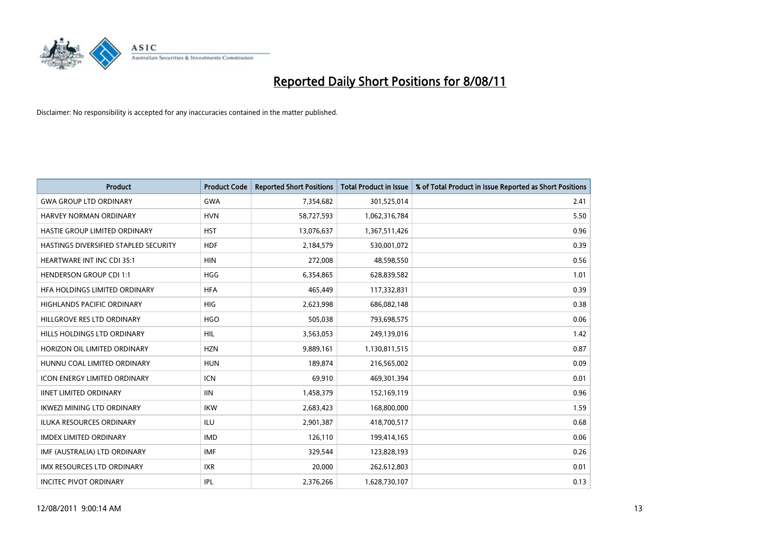

| <b>Product</b>                        | <b>Product Code</b> | <b>Reported Short Positions</b> | <b>Total Product in Issue</b> | % of Total Product in Issue Reported as Short Positions |
|---------------------------------------|---------------------|---------------------------------|-------------------------------|---------------------------------------------------------|
| <b>GWA GROUP LTD ORDINARY</b>         | <b>GWA</b>          | 7,354,682                       | 301,525,014                   | 2.41                                                    |
| HARVEY NORMAN ORDINARY                | <b>HVN</b>          | 58,727,593                      | 1,062,316,784                 | 5.50                                                    |
| <b>HASTIE GROUP LIMITED ORDINARY</b>  | <b>HST</b>          | 13,076,637                      | 1,367,511,426                 | 0.96                                                    |
| HASTINGS DIVERSIFIED STAPLED SECURITY | <b>HDF</b>          | 2,184,579                       | 530,001,072                   | 0.39                                                    |
| <b>HEARTWARE INT INC CDI 35:1</b>     | <b>HIN</b>          | 272,008                         | 48,598,550                    | 0.56                                                    |
| <b>HENDERSON GROUP CDI 1:1</b>        | <b>HGG</b>          | 6,354,865                       | 628,839,582                   | 1.01                                                    |
| HFA HOLDINGS LIMITED ORDINARY         | <b>HFA</b>          | 465,449                         | 117,332,831                   | 0.39                                                    |
| <b>HIGHLANDS PACIFIC ORDINARY</b>     | <b>HIG</b>          | 2,623,998                       | 686,082,148                   | 0.38                                                    |
| HILLGROVE RES LTD ORDINARY            | <b>HGO</b>          | 505,038                         | 793,698,575                   | 0.06                                                    |
| HILLS HOLDINGS LTD ORDINARY           | <b>HIL</b>          | 3,563,053                       | 249,139,016                   | 1.42                                                    |
| HORIZON OIL LIMITED ORDINARY          | <b>HZN</b>          | 9,889,161                       | 1,130,811,515                 | 0.87                                                    |
| HUNNU COAL LIMITED ORDINARY           | <b>HUN</b>          | 189,874                         | 216,565,002                   | 0.09                                                    |
| <b>ICON ENERGY LIMITED ORDINARY</b>   | <b>ICN</b>          | 69,910                          | 469,301,394                   | 0.01                                                    |
| <b>IINET LIMITED ORDINARY</b>         | <b>IIN</b>          | 1,458,379                       | 152,169,119                   | 0.96                                                    |
| <b>IKWEZI MINING LTD ORDINARY</b>     | <b>IKW</b>          | 2,683,423                       | 168,800,000                   | 1.59                                                    |
| ILUKA RESOURCES ORDINARY              | ILU                 | 2,901,387                       | 418,700,517                   | 0.68                                                    |
| <b>IMDEX LIMITED ORDINARY</b>         | <b>IMD</b>          | 126,110                         | 199,414,165                   | 0.06                                                    |
| IMF (AUSTRALIA) LTD ORDINARY          | <b>IMF</b>          | 329,544                         | 123,828,193                   | 0.26                                                    |
| <b>IMX RESOURCES LTD ORDINARY</b>     | <b>IXR</b>          | 20,000                          | 262,612,803                   | 0.01                                                    |
| <b>INCITEC PIVOT ORDINARY</b>         | <b>IPL</b>          | 2,376,266                       | 1,628,730,107                 | 0.13                                                    |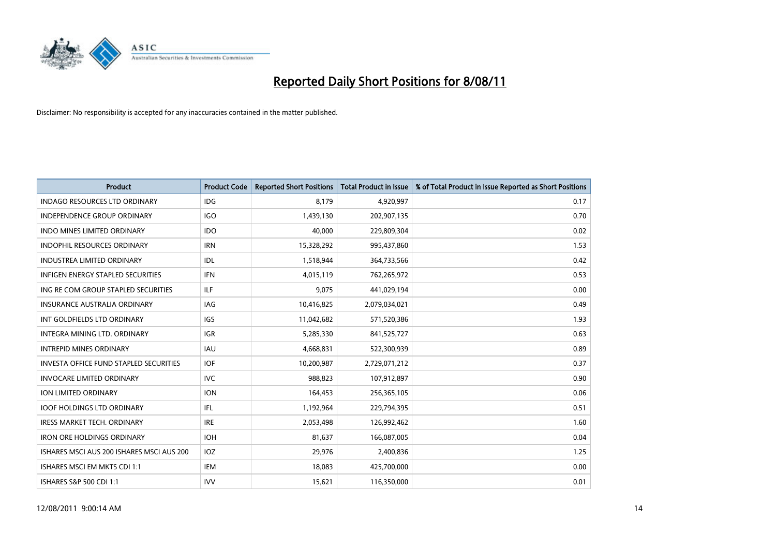

| <b>Product</b>                                | <b>Product Code</b> | <b>Reported Short Positions</b> | <b>Total Product in Issue</b> | % of Total Product in Issue Reported as Short Positions |
|-----------------------------------------------|---------------------|---------------------------------|-------------------------------|---------------------------------------------------------|
| <b>INDAGO RESOURCES LTD ORDINARY</b>          | <b>IDG</b>          | 8,179                           | 4,920,997                     | 0.17                                                    |
| INDEPENDENCE GROUP ORDINARY                   | <b>IGO</b>          | 1,439,130                       | 202,907,135                   | 0.70                                                    |
| <b>INDO MINES LIMITED ORDINARY</b>            | <b>IDO</b>          | 40.000                          | 229,809,304                   | 0.02                                                    |
| INDOPHIL RESOURCES ORDINARY                   | <b>IRN</b>          | 15,328,292                      | 995,437,860                   | 1.53                                                    |
| <b>INDUSTREA LIMITED ORDINARY</b>             | IDL                 | 1,518,944                       | 364,733,566                   | 0.42                                                    |
| <b>INFIGEN ENERGY STAPLED SECURITIES</b>      | <b>IFN</b>          | 4,015,119                       | 762,265,972                   | 0.53                                                    |
| ING RE COM GROUP STAPLED SECURITIES           | ILF                 | 9,075                           | 441,029,194                   | 0.00                                                    |
| <b>INSURANCE AUSTRALIA ORDINARY</b>           | <b>IAG</b>          | 10,416,825                      | 2,079,034,021                 | 0.49                                                    |
| INT GOLDFIELDS LTD ORDINARY                   | <b>IGS</b>          | 11,042,682                      | 571,520,386                   | 1.93                                                    |
| INTEGRA MINING LTD, ORDINARY                  | <b>IGR</b>          | 5,285,330                       | 841,525,727                   | 0.63                                                    |
| <b>INTREPID MINES ORDINARY</b>                | <b>IAU</b>          | 4,668,831                       | 522,300,939                   | 0.89                                                    |
| <b>INVESTA OFFICE FUND STAPLED SECURITIES</b> | <b>IOF</b>          | 10,200,987                      | 2,729,071,212                 | 0.37                                                    |
| <b>INVOCARE LIMITED ORDINARY</b>              | <b>IVC</b>          | 988,823                         | 107,912,897                   | 0.90                                                    |
| <b>ION LIMITED ORDINARY</b>                   | <b>ION</b>          | 164,453                         | 256,365,105                   | 0.06                                                    |
| <b>IOOF HOLDINGS LTD ORDINARY</b>             | IFL.                | 1,192,964                       | 229,794,395                   | 0.51                                                    |
| IRESS MARKET TECH. ORDINARY                   | <b>IRE</b>          | 2,053,498                       | 126,992,462                   | 1.60                                                    |
| <b>IRON ORE HOLDINGS ORDINARY</b>             | <b>IOH</b>          | 81,637                          | 166,087,005                   | 0.04                                                    |
| ISHARES MSCI AUS 200 ISHARES MSCI AUS 200     | IOZ                 | 29,976                          | 2,400,836                     | 1.25                                                    |
| ISHARES MSCI EM MKTS CDI 1:1                  | <b>IEM</b>          | 18,083                          | 425,700,000                   | 0.00                                                    |
| ISHARES S&P 500 CDI 1:1                       | <b>IVV</b>          | 15,621                          | 116,350,000                   | 0.01                                                    |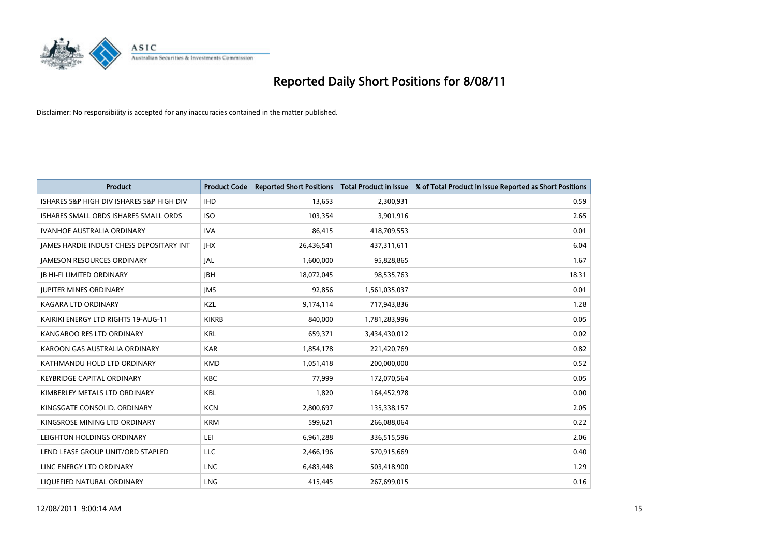

| <b>Product</b>                                  | <b>Product Code</b> | <b>Reported Short Positions</b> | <b>Total Product in Issue</b> | % of Total Product in Issue Reported as Short Positions |
|-------------------------------------------------|---------------------|---------------------------------|-------------------------------|---------------------------------------------------------|
| ISHARES S&P HIGH DIV ISHARES S&P HIGH DIV       | <b>IHD</b>          | 13,653                          | 2,300,931                     | 0.59                                                    |
| ISHARES SMALL ORDS ISHARES SMALL ORDS           | <b>ISO</b>          | 103,354                         | 3,901,916                     | 2.65                                                    |
| <b>IVANHOE AUSTRALIA ORDINARY</b>               | <b>IVA</b>          | 86,415                          | 418,709,553                   | 0.01                                                    |
| <b>JAMES HARDIE INDUST CHESS DEPOSITARY INT</b> | <b>IHX</b>          | 26,436,541                      | 437,311,611                   | 6.04                                                    |
| <b>IAMESON RESOURCES ORDINARY</b>               | <b>JAL</b>          | 1,600,000                       | 95,828,865                    | 1.67                                                    |
| <b>JB HI-FI LIMITED ORDINARY</b>                | <b>IBH</b>          | 18,072,045                      | 98,535,763                    | 18.31                                                   |
| <b>IUPITER MINES ORDINARY</b>                   | <b>IMS</b>          | 92,856                          | 1,561,035,037                 | 0.01                                                    |
| <b>KAGARA LTD ORDINARY</b>                      | KZL                 | 9,174,114                       | 717,943,836                   | 1.28                                                    |
| KAIRIKI ENERGY LTD RIGHTS 19-AUG-11             | <b>KIKRB</b>        | 840,000                         | 1,781,283,996                 | 0.05                                                    |
| KANGAROO RES LTD ORDINARY                       | <b>KRL</b>          | 659,371                         | 3,434,430,012                 | 0.02                                                    |
| KAROON GAS AUSTRALIA ORDINARY                   | <b>KAR</b>          | 1,854,178                       | 221,420,769                   | 0.82                                                    |
| KATHMANDU HOLD LTD ORDINARY                     | <b>KMD</b>          | 1,051,418                       | 200,000,000                   | 0.52                                                    |
| <b>KEYBRIDGE CAPITAL ORDINARY</b>               | <b>KBC</b>          | 77.999                          | 172,070,564                   | 0.05                                                    |
| KIMBERLEY METALS LTD ORDINARY                   | <b>KBL</b>          | 1,820                           | 164,452,978                   | 0.00                                                    |
| KINGSGATE CONSOLID, ORDINARY                    | <b>KCN</b>          | 2,800,697                       | 135,338,157                   | 2.05                                                    |
| KINGSROSE MINING LTD ORDINARY                   | <b>KRM</b>          | 599,621                         | 266,088,064                   | 0.22                                                    |
| LEIGHTON HOLDINGS ORDINARY                      | LEI                 | 6,961,288                       | 336,515,596                   | 2.06                                                    |
| LEND LEASE GROUP UNIT/ORD STAPLED               | LLC                 | 2,466,196                       | 570,915,669                   | 0.40                                                    |
| LINC ENERGY LTD ORDINARY                        | <b>LNC</b>          | 6,483,448                       | 503,418,900                   | 1.29                                                    |
| LIQUEFIED NATURAL ORDINARY                      | LNG                 | 415,445                         | 267,699,015                   | 0.16                                                    |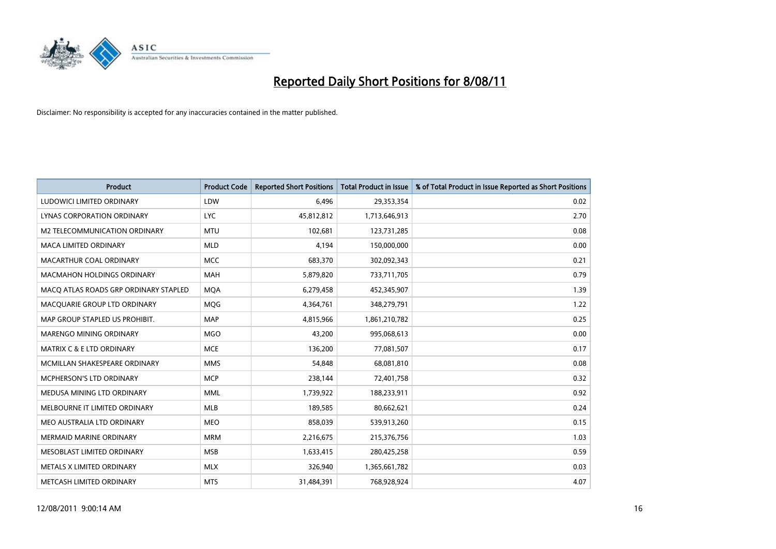

| <b>Product</b>                        | <b>Product Code</b> | <b>Reported Short Positions</b> | <b>Total Product in Issue</b> | % of Total Product in Issue Reported as Short Positions |
|---------------------------------------|---------------------|---------------------------------|-------------------------------|---------------------------------------------------------|
| LUDOWICI LIMITED ORDINARY             | LDW                 | 6,496                           | 29,353,354                    | 0.02                                                    |
| LYNAS CORPORATION ORDINARY            | <b>LYC</b>          | 45,812,812                      | 1,713,646,913                 | 2.70                                                    |
| M2 TELECOMMUNICATION ORDINARY         | <b>MTU</b>          | 102,681                         | 123,731,285                   | 0.08                                                    |
| MACA LIMITED ORDINARY                 | <b>MLD</b>          | 4,194                           | 150,000,000                   | 0.00                                                    |
| MACARTHUR COAL ORDINARY               | <b>MCC</b>          | 683,370                         | 302,092,343                   | 0.21                                                    |
| <b>MACMAHON HOLDINGS ORDINARY</b>     | <b>MAH</b>          | 5,879,820                       | 733,711,705                   | 0.79                                                    |
| MACQ ATLAS ROADS GRP ORDINARY STAPLED | <b>MQA</b>          | 6,279,458                       | 452,345,907                   | 1.39                                                    |
| MACQUARIE GROUP LTD ORDINARY          | <b>MQG</b>          | 4,364,761                       | 348,279,791                   | 1.22                                                    |
| MAP GROUP STAPLED US PROHIBIT.        | <b>MAP</b>          | 4,815,966                       | 1,861,210,782                 | 0.25                                                    |
| MARENGO MINING ORDINARY               | <b>MGO</b>          | 43,200                          | 995,068,613                   | 0.00                                                    |
| MATRIX C & E LTD ORDINARY             | <b>MCE</b>          | 136,200                         | 77,081,507                    | 0.17                                                    |
| MCMILLAN SHAKESPEARE ORDINARY         | <b>MMS</b>          | 54,848                          | 68,081,810                    | 0.08                                                    |
| <b>MCPHERSON'S LTD ORDINARY</b>       | <b>MCP</b>          | 238,144                         | 72,401,758                    | 0.32                                                    |
| MEDUSA MINING LTD ORDINARY            | <b>MML</b>          | 1,739,922                       | 188,233,911                   | 0.92                                                    |
| MELBOURNE IT LIMITED ORDINARY         | <b>MLB</b>          | 189,585                         | 80,662,621                    | 0.24                                                    |
| MEO AUSTRALIA LTD ORDINARY            | <b>MEO</b>          | 858.039                         | 539,913,260                   | 0.15                                                    |
| <b>MERMAID MARINE ORDINARY</b>        | <b>MRM</b>          | 2,216,675                       | 215,376,756                   | 1.03                                                    |
| MESOBLAST LIMITED ORDINARY            | <b>MSB</b>          | 1,633,415                       | 280,425,258                   | 0.59                                                    |
| METALS X LIMITED ORDINARY             | <b>MLX</b>          | 326,940                         | 1,365,661,782                 | 0.03                                                    |
| METCASH LIMITED ORDINARY              | <b>MTS</b>          | 31,484,391                      | 768,928,924                   | 4.07                                                    |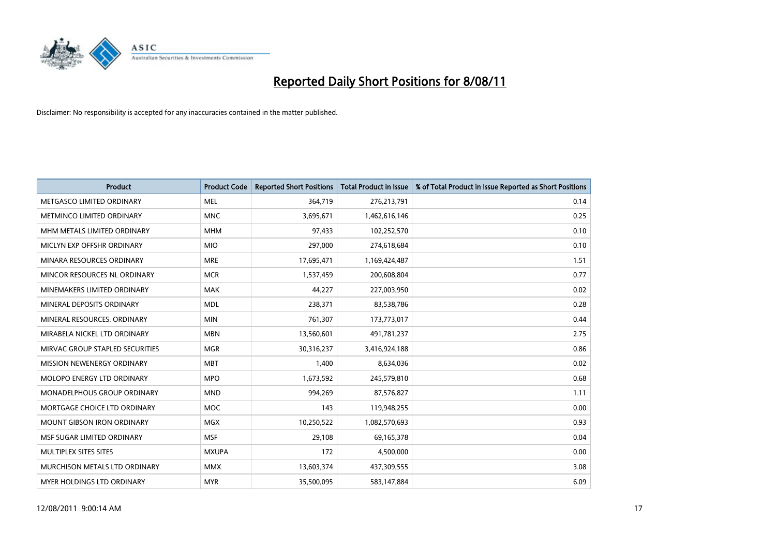

| <b>Product</b>                    | <b>Product Code</b> | <b>Reported Short Positions</b> | Total Product in Issue | % of Total Product in Issue Reported as Short Positions |
|-----------------------------------|---------------------|---------------------------------|------------------------|---------------------------------------------------------|
| METGASCO LIMITED ORDINARY         | <b>MEL</b>          | 364,719                         | 276,213,791            | 0.14                                                    |
| <b>METMINCO LIMITED ORDINARY</b>  | <b>MNC</b>          | 3,695,671                       | 1,462,616,146          | 0.25                                                    |
| MHM METALS LIMITED ORDINARY       | <b>MHM</b>          | 97,433                          | 102,252,570            | 0.10                                                    |
| MICLYN EXP OFFSHR ORDINARY        | <b>MIO</b>          | 297,000                         | 274,618,684            | 0.10                                                    |
| MINARA RESOURCES ORDINARY         | <b>MRE</b>          | 17,695,471                      | 1,169,424,487          | 1.51                                                    |
| MINCOR RESOURCES NL ORDINARY      | <b>MCR</b>          | 1,537,459                       | 200,608,804            | 0.77                                                    |
| MINEMAKERS LIMITED ORDINARY       | <b>MAK</b>          | 44,227                          | 227,003,950            | 0.02                                                    |
| MINERAL DEPOSITS ORDINARY         | <b>MDL</b>          | 238,371                         | 83,538,786             | 0.28                                                    |
| MINERAL RESOURCES, ORDINARY       | <b>MIN</b>          | 761,307                         | 173,773,017            | 0.44                                                    |
| MIRABELA NICKEL LTD ORDINARY      | <b>MBN</b>          | 13,560,601                      | 491,781,237            | 2.75                                                    |
| MIRVAC GROUP STAPLED SECURITIES   | <b>MGR</b>          | 30,316,237                      | 3,416,924,188          | 0.86                                                    |
| MISSION NEWENERGY ORDINARY        | <b>MBT</b>          | 1,400                           | 8,634,036              | 0.02                                                    |
| <b>MOLOPO ENERGY LTD ORDINARY</b> | <b>MPO</b>          | 1,673,592                       | 245,579,810            | 0.68                                                    |
| MONADELPHOUS GROUP ORDINARY       | <b>MND</b>          | 994,269                         | 87,576,827             | 1.11                                                    |
| MORTGAGE CHOICE LTD ORDINARY      | <b>MOC</b>          | 143                             | 119,948,255            | 0.00                                                    |
| <b>MOUNT GIBSON IRON ORDINARY</b> | <b>MGX</b>          | 10,250,522                      | 1,082,570,693          | 0.93                                                    |
| MSF SUGAR LIMITED ORDINARY        | <b>MSF</b>          | 29,108                          | 69,165,378             | 0.04                                                    |
| MULTIPLEX SITES SITES             | <b>MXUPA</b>        | 172                             | 4,500,000              | 0.00                                                    |
| MURCHISON METALS LTD ORDINARY     | <b>MMX</b>          | 13,603,374                      | 437,309,555            | 3.08                                                    |
| MYER HOLDINGS LTD ORDINARY        | <b>MYR</b>          | 35,500,095                      | 583,147,884            | 6.09                                                    |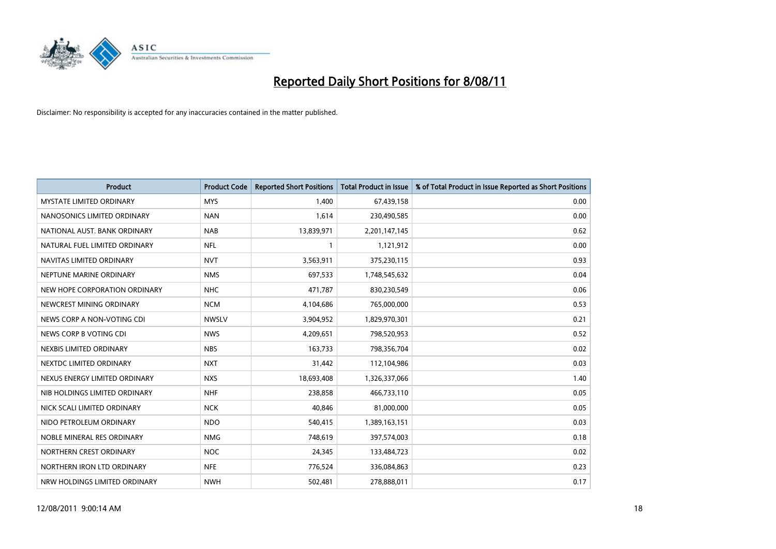

| <b>Product</b>                  | <b>Product Code</b> | <b>Reported Short Positions</b> | <b>Total Product in Issue</b> | % of Total Product in Issue Reported as Short Positions |
|---------------------------------|---------------------|---------------------------------|-------------------------------|---------------------------------------------------------|
| <b>MYSTATE LIMITED ORDINARY</b> | <b>MYS</b>          | 1.400                           | 67,439,158                    | 0.00                                                    |
| NANOSONICS LIMITED ORDINARY     | <b>NAN</b>          | 1,614                           | 230,490,585                   | 0.00                                                    |
| NATIONAL AUST. BANK ORDINARY    | <b>NAB</b>          | 13,839,971                      | 2,201,147,145                 | 0.62                                                    |
| NATURAL FUEL LIMITED ORDINARY   | <b>NFL</b>          |                                 | 1,121,912                     | 0.00                                                    |
| NAVITAS LIMITED ORDINARY        | <b>NVT</b>          | 3,563,911                       | 375,230,115                   | 0.93                                                    |
| NEPTUNE MARINE ORDINARY         | <b>NMS</b>          | 697,533                         | 1,748,545,632                 | 0.04                                                    |
| NEW HOPE CORPORATION ORDINARY   | <b>NHC</b>          | 471,787                         | 830,230,549                   | 0.06                                                    |
| NEWCREST MINING ORDINARY        | <b>NCM</b>          | 4,104,686                       | 765,000,000                   | 0.53                                                    |
| NEWS CORP A NON-VOTING CDI      | <b>NWSLV</b>        | 3,904,952                       | 1,829,970,301                 | 0.21                                                    |
| NEWS CORP B VOTING CDI          | <b>NWS</b>          | 4,209,651                       | 798,520,953                   | 0.52                                                    |
| NEXBIS LIMITED ORDINARY         | <b>NBS</b>          | 163,733                         | 798,356,704                   | 0.02                                                    |
| NEXTDC LIMITED ORDINARY         | <b>NXT</b>          | 31,442                          | 112,104,986                   | 0.03                                                    |
| NEXUS ENERGY LIMITED ORDINARY   | <b>NXS</b>          | 18,693,408                      | 1,326,337,066                 | 1.40                                                    |
| NIB HOLDINGS LIMITED ORDINARY   | <b>NHF</b>          | 238,858                         | 466,733,110                   | 0.05                                                    |
| NICK SCALI LIMITED ORDINARY     | <b>NCK</b>          | 40.846                          | 81,000,000                    | 0.05                                                    |
| NIDO PETROLEUM ORDINARY         | <b>NDO</b>          | 540,415                         | 1,389,163,151                 | 0.03                                                    |
| NOBLE MINERAL RES ORDINARY      | <b>NMG</b>          | 748,619                         | 397,574,003                   | 0.18                                                    |
| NORTHERN CREST ORDINARY         | <b>NOC</b>          | 24,345                          | 133,484,723                   | 0.02                                                    |
| NORTHERN IRON LTD ORDINARY      | <b>NFE</b>          | 776,524                         | 336,084,863                   | 0.23                                                    |
| NRW HOLDINGS LIMITED ORDINARY   | <b>NWH</b>          | 502,481                         | 278,888,011                   | 0.17                                                    |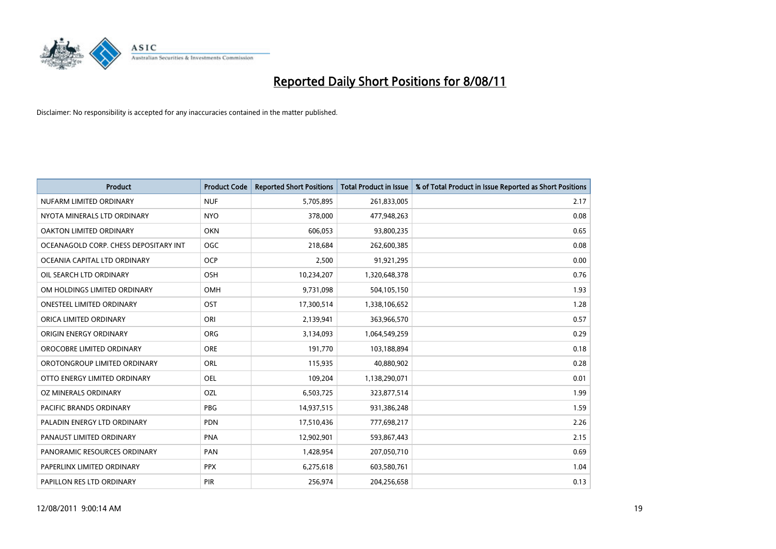

| <b>Product</b>                        | <b>Product Code</b> | <b>Reported Short Positions</b> | <b>Total Product in Issue</b> | % of Total Product in Issue Reported as Short Positions |
|---------------------------------------|---------------------|---------------------------------|-------------------------------|---------------------------------------------------------|
| NUFARM LIMITED ORDINARY               | <b>NUF</b>          | 5,705,895                       | 261,833,005                   | 2.17                                                    |
| NYOTA MINERALS LTD ORDINARY           | <b>NYO</b>          | 378,000                         | 477,948,263                   | 0.08                                                    |
| <b>OAKTON LIMITED ORDINARY</b>        | <b>OKN</b>          | 606,053                         | 93,800,235                    | 0.65                                                    |
| OCEANAGOLD CORP. CHESS DEPOSITARY INT | <b>OGC</b>          | 218,684                         | 262,600,385                   | 0.08                                                    |
| OCEANIA CAPITAL LTD ORDINARY          | <b>OCP</b>          | 2,500                           | 91,921,295                    | 0.00                                                    |
| OIL SEARCH LTD ORDINARY               | OSH                 | 10,234,207                      | 1,320,648,378                 | 0.76                                                    |
| OM HOLDINGS LIMITED ORDINARY          | <b>OMH</b>          | 9,731,098                       | 504,105,150                   | 1.93                                                    |
| <b>ONESTEEL LIMITED ORDINARY</b>      | OST                 | 17,300,514                      | 1,338,106,652                 | 1.28                                                    |
| ORICA LIMITED ORDINARY                | ORI                 | 2,139,941                       | 363,966,570                   | 0.57                                                    |
| ORIGIN ENERGY ORDINARY                | <b>ORG</b>          | 3,134,093                       | 1,064,549,259                 | 0.29                                                    |
| OROCOBRE LIMITED ORDINARY             | <b>ORE</b>          | 191,770                         | 103,188,894                   | 0.18                                                    |
| OROTONGROUP LIMITED ORDINARY          | <b>ORL</b>          | 115,935                         | 40,880,902                    | 0.28                                                    |
| OTTO ENERGY LIMITED ORDINARY          | OEL                 | 109,204                         | 1,138,290,071                 | 0.01                                                    |
| OZ MINERALS ORDINARY                  | OZL                 | 6,503,725                       | 323,877,514                   | 1.99                                                    |
| <b>PACIFIC BRANDS ORDINARY</b>        | <b>PBG</b>          | 14,937,515                      | 931,386,248                   | 1.59                                                    |
| PALADIN ENERGY LTD ORDINARY           | PDN                 | 17,510,436                      | 777,698,217                   | 2.26                                                    |
| PANAUST LIMITED ORDINARY              | <b>PNA</b>          | 12,902,901                      | 593,867,443                   | 2.15                                                    |
| PANORAMIC RESOURCES ORDINARY          | PAN                 | 1,428,954                       | 207,050,710                   | 0.69                                                    |
| PAPERLINX LIMITED ORDINARY            | <b>PPX</b>          | 6,275,618                       | 603,580,761                   | 1.04                                                    |
| PAPILLON RES LTD ORDINARY             | PIR                 | 256,974                         | 204,256,658                   | 0.13                                                    |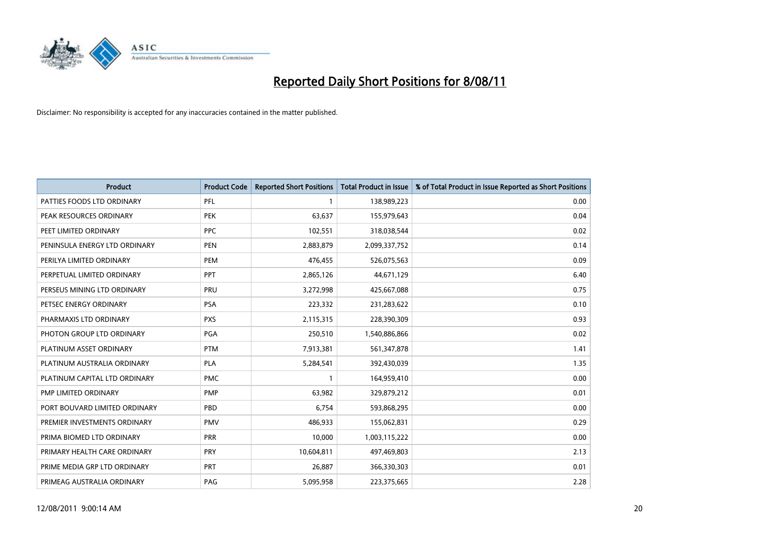

| <b>Product</b>                | <b>Product Code</b> | <b>Reported Short Positions</b> | Total Product in Issue | % of Total Product in Issue Reported as Short Positions |
|-------------------------------|---------------------|---------------------------------|------------------------|---------------------------------------------------------|
| PATTIES FOODS LTD ORDINARY    | PFL                 |                                 | 138,989,223            | 0.00                                                    |
| PEAK RESOURCES ORDINARY       | <b>PEK</b>          | 63,637                          | 155,979,643            | 0.04                                                    |
| PEET LIMITED ORDINARY         | <b>PPC</b>          | 102,551                         | 318,038,544            | 0.02                                                    |
| PENINSULA ENERGY LTD ORDINARY | <b>PEN</b>          | 2,883,879                       | 2,099,337,752          | 0.14                                                    |
| PERILYA LIMITED ORDINARY      | PEM                 | 476,455                         | 526,075,563            | 0.09                                                    |
| PERPETUAL LIMITED ORDINARY    | PPT                 | 2,865,126                       | 44,671,129             | 6.40                                                    |
| PERSEUS MINING LTD ORDINARY   | PRU                 | 3,272,998                       | 425,667,088            | 0.75                                                    |
| PETSEC ENERGY ORDINARY        | <b>PSA</b>          | 223,332                         | 231,283,622            | 0.10                                                    |
| PHARMAXIS LTD ORDINARY        | <b>PXS</b>          | 2,115,315                       | 228,390,309            | 0.93                                                    |
| PHOTON GROUP LTD ORDINARY     | <b>PGA</b>          | 250,510                         | 1,540,886,866          | 0.02                                                    |
| PLATINUM ASSET ORDINARY       | <b>PTM</b>          | 7,913,381                       | 561,347,878            | 1.41                                                    |
| PLATINUM AUSTRALIA ORDINARY   | <b>PLA</b>          | 5,284,541                       | 392,430,039            | 1.35                                                    |
| PLATINUM CAPITAL LTD ORDINARY | <b>PMC</b>          |                                 | 164,959,410            | 0.00                                                    |
| PMP LIMITED ORDINARY          | <b>PMP</b>          | 63,982                          | 329,879,212            | 0.01                                                    |
| PORT BOUVARD LIMITED ORDINARY | <b>PBD</b>          | 6,754                           | 593,868,295            | 0.00                                                    |
| PREMIER INVESTMENTS ORDINARY  | <b>PMV</b>          | 486,933                         | 155,062,831            | 0.29                                                    |
| PRIMA BIOMED LTD ORDINARY     | <b>PRR</b>          | 10,000                          | 1,003,115,222          | 0.00                                                    |
| PRIMARY HEALTH CARE ORDINARY  | <b>PRY</b>          | 10,604,811                      | 497,469,803            | 2.13                                                    |
| PRIME MEDIA GRP LTD ORDINARY  | <b>PRT</b>          | 26,887                          | 366,330,303            | 0.01                                                    |
| PRIMEAG AUSTRALIA ORDINARY    | PAG                 | 5,095,958                       | 223,375,665            | 2.28                                                    |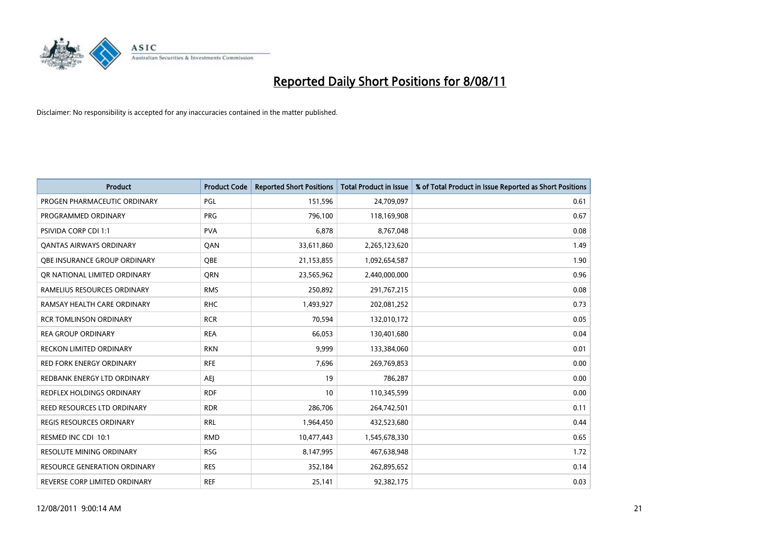

| <b>Product</b>                      | <b>Product Code</b> | <b>Reported Short Positions</b> | <b>Total Product in Issue</b> | % of Total Product in Issue Reported as Short Positions |
|-------------------------------------|---------------------|---------------------------------|-------------------------------|---------------------------------------------------------|
| PROGEN PHARMACEUTIC ORDINARY        | PGL                 | 151,596                         | 24,709,097                    | 0.61                                                    |
| PROGRAMMED ORDINARY                 | <b>PRG</b>          | 796,100                         | 118,169,908                   | 0.67                                                    |
| <b>PSIVIDA CORP CDI 1:1</b>         | <b>PVA</b>          | 6,878                           | 8,767,048                     | 0.08                                                    |
| <b>QANTAS AIRWAYS ORDINARY</b>      | QAN                 | 33,611,860                      | 2,265,123,620                 | 1.49                                                    |
| OBE INSURANCE GROUP ORDINARY        | <b>QBE</b>          | 21,153,855                      | 1,092,654,587                 | 1.90                                                    |
| OR NATIONAL LIMITED ORDINARY        | <b>ORN</b>          | 23,565,962                      | 2,440,000,000                 | 0.96                                                    |
| RAMELIUS RESOURCES ORDINARY         | <b>RMS</b>          | 250,892                         | 291,767,215                   | 0.08                                                    |
| RAMSAY HEALTH CARE ORDINARY         | <b>RHC</b>          | 1,493,927                       | 202,081,252                   | 0.73                                                    |
| <b>RCR TOMLINSON ORDINARY</b>       | <b>RCR</b>          | 70,594                          | 132,010,172                   | 0.05                                                    |
| <b>REA GROUP ORDINARY</b>           | <b>REA</b>          | 66,053                          | 130,401,680                   | 0.04                                                    |
| <b>RECKON LIMITED ORDINARY</b>      | <b>RKN</b>          | 9,999                           | 133,384,060                   | 0.01                                                    |
| <b>RED FORK ENERGY ORDINARY</b>     | <b>RFE</b>          | 7,696                           | 269,769,853                   | 0.00                                                    |
| REDBANK ENERGY LTD ORDINARY         | <b>AEJ</b>          | 19                              | 786,287                       | 0.00                                                    |
| <b>REDFLEX HOLDINGS ORDINARY</b>    | <b>RDF</b>          | 10                              | 110,345,599                   | 0.00                                                    |
| REED RESOURCES LTD ORDINARY         | <b>RDR</b>          | 286,706                         | 264,742,501                   | 0.11                                                    |
| <b>REGIS RESOURCES ORDINARY</b>     | <b>RRL</b>          | 1,964,450                       | 432,523,680                   | 0.44                                                    |
| RESMED INC CDI 10:1                 | <b>RMD</b>          | 10,477,443                      | 1,545,678,330                 | 0.65                                                    |
| RESOLUTE MINING ORDINARY            | <b>RSG</b>          | 8,147,995                       | 467,638,948                   | 1.72                                                    |
| <b>RESOURCE GENERATION ORDINARY</b> | <b>RES</b>          | 352,184                         | 262,895,652                   | 0.14                                                    |
| REVERSE CORP LIMITED ORDINARY       | <b>REF</b>          | 25,141                          | 92,382,175                    | 0.03                                                    |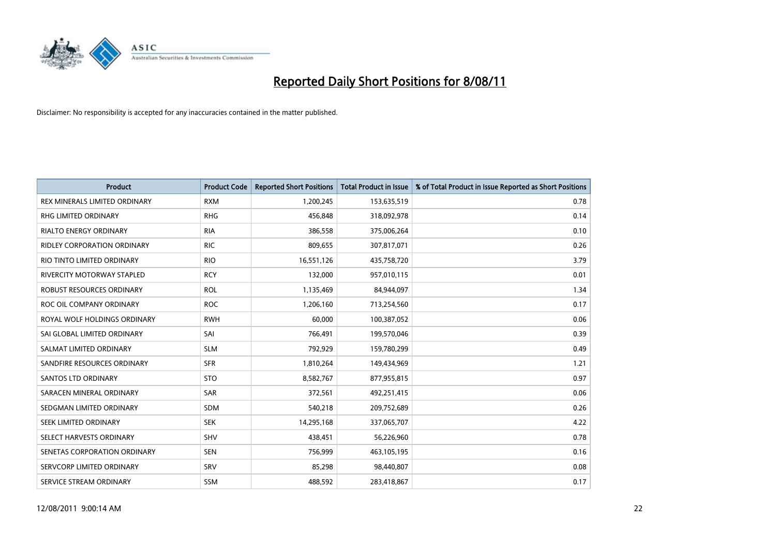

| <b>Product</b>                       | <b>Product Code</b> | <b>Reported Short Positions</b> | <b>Total Product in Issue</b> | % of Total Product in Issue Reported as Short Positions |
|--------------------------------------|---------------------|---------------------------------|-------------------------------|---------------------------------------------------------|
| <b>REX MINERALS LIMITED ORDINARY</b> | <b>RXM</b>          | 1,200,245                       | 153,635,519                   | 0.78                                                    |
| RHG LIMITED ORDINARY                 | <b>RHG</b>          | 456,848                         | 318,092,978                   | 0.14                                                    |
| <b>RIALTO ENERGY ORDINARY</b>        | <b>RIA</b>          | 386,558                         | 375,006,264                   | 0.10                                                    |
| RIDLEY CORPORATION ORDINARY          | <b>RIC</b>          | 809,655                         | 307,817,071                   | 0.26                                                    |
| RIO TINTO LIMITED ORDINARY           | <b>RIO</b>          | 16,551,126                      | 435,758,720                   | 3.79                                                    |
| RIVERCITY MOTORWAY STAPLED           | <b>RCY</b>          | 132,000                         | 957,010,115                   | 0.01                                                    |
| <b>ROBUST RESOURCES ORDINARY</b>     | <b>ROL</b>          | 1,135,469                       | 84,944,097                    | 1.34                                                    |
| ROC OIL COMPANY ORDINARY             | <b>ROC</b>          | 1,206,160                       | 713,254,560                   | 0.17                                                    |
| ROYAL WOLF HOLDINGS ORDINARY         | <b>RWH</b>          | 60,000                          | 100,387,052                   | 0.06                                                    |
| SAI GLOBAL LIMITED ORDINARY          | SAI                 | 766,491                         | 199,570,046                   | 0.39                                                    |
| SALMAT LIMITED ORDINARY              | <b>SLM</b>          | 792,929                         | 159,780,299                   | 0.49                                                    |
| SANDFIRE RESOURCES ORDINARY          | <b>SFR</b>          | 1,810,264                       | 149,434,969                   | 1.21                                                    |
| <b>SANTOS LTD ORDINARY</b>           | <b>STO</b>          | 8,582,767                       | 877,955,815                   | 0.97                                                    |
| SARACEN MINERAL ORDINARY             | <b>SAR</b>          | 372,561                         | 492,251,415                   | 0.06                                                    |
| SEDGMAN LIMITED ORDINARY             | <b>SDM</b>          | 540,218                         | 209,752,689                   | 0.26                                                    |
| SEEK LIMITED ORDINARY                | <b>SEK</b>          | 14,295,168                      | 337,065,707                   | 4.22                                                    |
| SELECT HARVESTS ORDINARY             | <b>SHV</b>          | 438,451                         | 56,226,960                    | 0.78                                                    |
| SENETAS CORPORATION ORDINARY         | <b>SEN</b>          | 756,999                         | 463,105,195                   | 0.16                                                    |
| SERVCORP LIMITED ORDINARY            | SRV                 | 85,298                          | 98,440,807                    | 0.08                                                    |
| SERVICE STREAM ORDINARY              | <b>SSM</b>          | 488,592                         | 283,418,867                   | 0.17                                                    |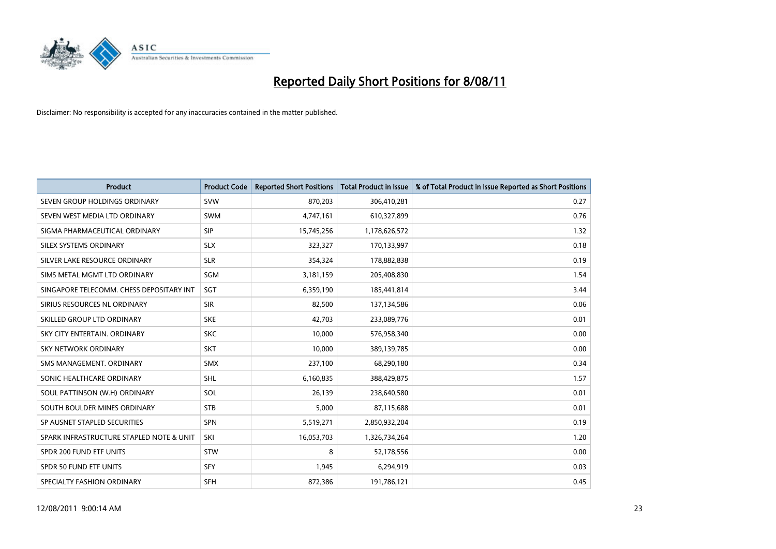

| <b>Product</b>                           | <b>Product Code</b> | <b>Reported Short Positions</b> | <b>Total Product in Issue</b> | % of Total Product in Issue Reported as Short Positions |
|------------------------------------------|---------------------|---------------------------------|-------------------------------|---------------------------------------------------------|
| SEVEN GROUP HOLDINGS ORDINARY            | <b>SVW</b>          | 870,203                         | 306,410,281                   | 0.27                                                    |
| SEVEN WEST MEDIA LTD ORDINARY            | <b>SWM</b>          | 4,747,161                       | 610,327,899                   | 0.76                                                    |
| SIGMA PHARMACEUTICAL ORDINARY            | SIP                 | 15,745,256                      | 1,178,626,572                 | 1.32                                                    |
| SILEX SYSTEMS ORDINARY                   | <b>SLX</b>          | 323,327                         | 170,133,997                   | 0.18                                                    |
| SILVER LAKE RESOURCE ORDINARY            | <b>SLR</b>          | 354,324                         | 178,882,838                   | 0.19                                                    |
| SIMS METAL MGMT LTD ORDINARY             | SGM                 | 3,181,159                       | 205,408,830                   | 1.54                                                    |
| SINGAPORE TELECOMM. CHESS DEPOSITARY INT | SGT                 | 6,359,190                       | 185,441,814                   | 3.44                                                    |
| SIRIUS RESOURCES NL ORDINARY             | <b>SIR</b>          | 82,500                          | 137,134,586                   | 0.06                                                    |
| SKILLED GROUP LTD ORDINARY               | <b>SKE</b>          | 42,703                          | 233,089,776                   | 0.01                                                    |
| SKY CITY ENTERTAIN, ORDINARY             | <b>SKC</b>          | 10,000                          | 576,958,340                   | 0.00                                                    |
| SKY NETWORK ORDINARY                     | <b>SKT</b>          | 10,000                          | 389,139,785                   | 0.00                                                    |
| SMS MANAGEMENT, ORDINARY                 | <b>SMX</b>          | 237,100                         | 68,290,180                    | 0.34                                                    |
| SONIC HEALTHCARE ORDINARY                | <b>SHL</b>          | 6,160,835                       | 388,429,875                   | 1.57                                                    |
| SOUL PATTINSON (W.H) ORDINARY            | SOL                 | 26,139                          | 238,640,580                   | 0.01                                                    |
| SOUTH BOULDER MINES ORDINARY             | <b>STB</b>          | 5,000                           | 87,115,688                    | 0.01                                                    |
| SP AUSNET STAPLED SECURITIES             | SPN                 | 5,519,271                       | 2,850,932,204                 | 0.19                                                    |
| SPARK INFRASTRUCTURE STAPLED NOTE & UNIT | SKI                 | 16,053,703                      | 1,326,734,264                 | 1.20                                                    |
| SPDR 200 FUND ETF UNITS                  | <b>STW</b>          | 8                               | 52,178,556                    | 0.00                                                    |
| <b>SPDR 50 FUND ETF UNITS</b>            | <b>SFY</b>          | 1,945                           | 6,294,919                     | 0.03                                                    |
| SPECIALTY FASHION ORDINARY               | <b>SFH</b>          | 872,386                         | 191,786,121                   | 0.45                                                    |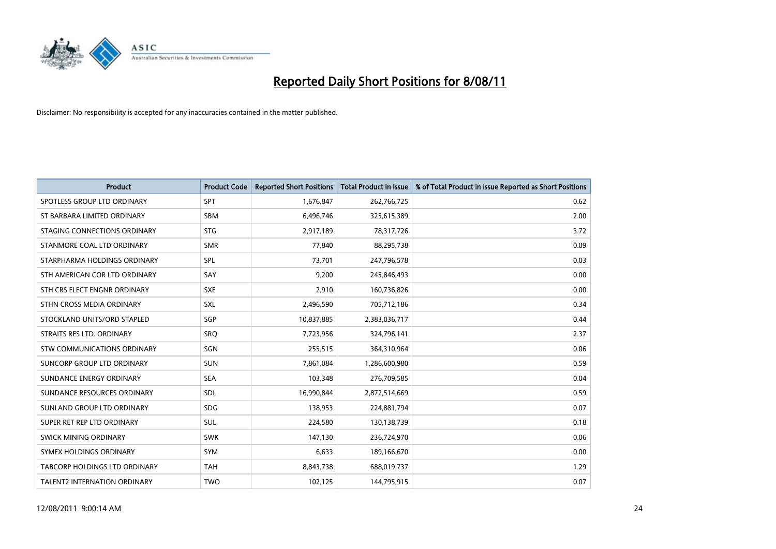

| <b>Product</b>                     | <b>Product Code</b> | <b>Reported Short Positions</b> | <b>Total Product in Issue</b> | % of Total Product in Issue Reported as Short Positions |
|------------------------------------|---------------------|---------------------------------|-------------------------------|---------------------------------------------------------|
| SPOTLESS GROUP LTD ORDINARY        | <b>SPT</b>          | 1,676,847                       | 262,766,725                   | 0.62                                                    |
| ST BARBARA LIMITED ORDINARY        | <b>SBM</b>          | 6,496,746                       | 325,615,389                   | 2.00                                                    |
| STAGING CONNECTIONS ORDINARY       | <b>STG</b>          | 2,917,189                       | 78,317,726                    | 3.72                                                    |
| STANMORE COAL LTD ORDINARY         | <b>SMR</b>          | 77,840                          | 88,295,738                    | 0.09                                                    |
| STARPHARMA HOLDINGS ORDINARY       | SPL                 | 73,701                          | 247,796,578                   | 0.03                                                    |
| STH AMERICAN COR LTD ORDINARY      | SAY                 | 9,200                           | 245,846,493                   | 0.00                                                    |
| STH CRS ELECT ENGNR ORDINARY       | <b>SXE</b>          | 2,910                           | 160,736,826                   | 0.00                                                    |
| STHN CROSS MEDIA ORDINARY          | SXL                 | 2,496,590                       | 705,712,186                   | 0.34                                                    |
| STOCKLAND UNITS/ORD STAPLED        | SGP                 | 10,837,885                      | 2,383,036,717                 | 0.44                                                    |
| STRAITS RES LTD. ORDINARY          | <b>SRO</b>          | 7,723,956                       | 324,796,141                   | 2.37                                                    |
| <b>STW COMMUNICATIONS ORDINARY</b> | SGN                 | 255,515                         | 364,310,964                   | 0.06                                                    |
| SUNCORP GROUP LTD ORDINARY         | <b>SUN</b>          | 7,861,084                       | 1,286,600,980                 | 0.59                                                    |
| SUNDANCE ENERGY ORDINARY           | <b>SEA</b>          | 103,348                         | 276,709,585                   | 0.04                                                    |
| SUNDANCE RESOURCES ORDINARY        | <b>SDL</b>          | 16,990,844                      | 2,872,514,669                 | 0.59                                                    |
| SUNLAND GROUP LTD ORDINARY         | <b>SDG</b>          | 138,953                         | 224,881,794                   | 0.07                                                    |
| SUPER RET REP LTD ORDINARY         | <b>SUL</b>          | 224,580                         | 130,138,739                   | 0.18                                                    |
| <b>SWICK MINING ORDINARY</b>       | <b>SWK</b>          | 147,130                         | 236,724,970                   | 0.06                                                    |
| SYMEX HOLDINGS ORDINARY            | <b>SYM</b>          | 6,633                           | 189,166,670                   | 0.00                                                    |
| TABCORP HOLDINGS LTD ORDINARY      | <b>TAH</b>          | 8,843,738                       | 688,019,737                   | 1.29                                                    |
| TALENT2 INTERNATION ORDINARY       | <b>TWO</b>          | 102,125                         | 144,795,915                   | 0.07                                                    |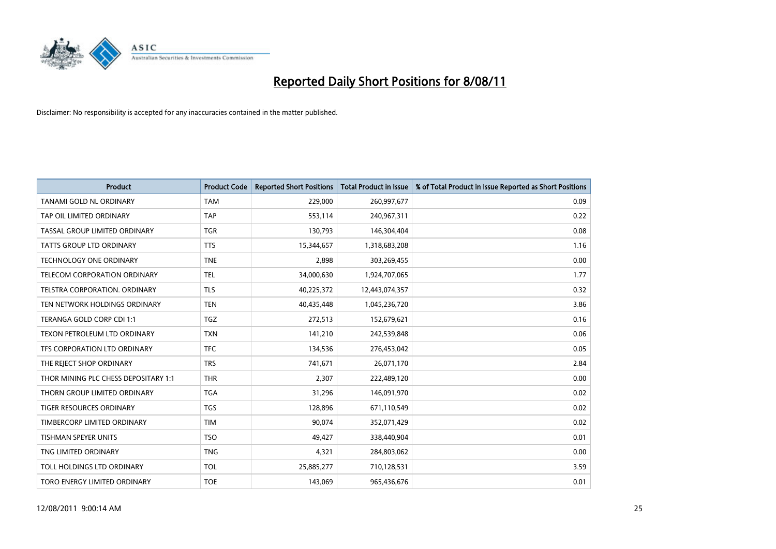

| <b>Product</b>                       | <b>Product Code</b> | <b>Reported Short Positions</b> | <b>Total Product in Issue</b> | % of Total Product in Issue Reported as Short Positions |
|--------------------------------------|---------------------|---------------------------------|-------------------------------|---------------------------------------------------------|
| <b>TANAMI GOLD NL ORDINARY</b>       | <b>TAM</b>          | 229,000                         | 260,997,677                   | 0.09                                                    |
| TAP OIL LIMITED ORDINARY             | <b>TAP</b>          | 553,114                         | 240,967,311                   | 0.22                                                    |
| TASSAL GROUP LIMITED ORDINARY        | <b>TGR</b>          | 130,793                         | 146,304,404                   | 0.08                                                    |
| TATTS GROUP LTD ORDINARY             | <b>TTS</b>          | 15,344,657                      | 1,318,683,208                 | 1.16                                                    |
| <b>TECHNOLOGY ONE ORDINARY</b>       | <b>TNE</b>          | 2,898                           | 303,269,455                   | 0.00                                                    |
| TELECOM CORPORATION ORDINARY         | <b>TEL</b>          | 34,000,630                      | 1,924,707,065                 | 1.77                                                    |
| TELSTRA CORPORATION, ORDINARY        | <b>TLS</b>          | 40,225,372                      | 12,443,074,357                | 0.32                                                    |
| TEN NETWORK HOLDINGS ORDINARY        | <b>TEN</b>          | 40,435,448                      | 1,045,236,720                 | 3.86                                                    |
| TERANGA GOLD CORP CDI 1:1            | <b>TGZ</b>          | 272,513                         | 152,679,621                   | 0.16                                                    |
| TEXON PETROLEUM LTD ORDINARY         | <b>TXN</b>          | 141,210                         | 242,539,848                   | 0.06                                                    |
| TFS CORPORATION LTD ORDINARY         | <b>TFC</b>          | 134,536                         | 276,453,042                   | 0.05                                                    |
| THE REJECT SHOP ORDINARY             | <b>TRS</b>          | 741,671                         | 26,071,170                    | 2.84                                                    |
| THOR MINING PLC CHESS DEPOSITARY 1:1 | <b>THR</b>          | 2,307                           | 222,489,120                   | 0.00                                                    |
| THORN GROUP LIMITED ORDINARY         | <b>TGA</b>          | 31,296                          | 146,091,970                   | 0.02                                                    |
| TIGER RESOURCES ORDINARY             | <b>TGS</b>          | 128,896                         | 671,110,549                   | 0.02                                                    |
| TIMBERCORP LIMITED ORDINARY          | <b>TIM</b>          | 90.074                          | 352,071,429                   | 0.02                                                    |
| <b>TISHMAN SPEYER UNITS</b>          | <b>TSO</b>          | 49,427                          | 338,440,904                   | 0.01                                                    |
| TNG LIMITED ORDINARY                 | <b>TNG</b>          | 4,321                           | 284,803,062                   | 0.00                                                    |
| TOLL HOLDINGS LTD ORDINARY           | <b>TOL</b>          | 25,885,277                      | 710,128,531                   | 3.59                                                    |
| TORO ENERGY LIMITED ORDINARY         | <b>TOE</b>          | 143.069                         | 965,436,676                   | 0.01                                                    |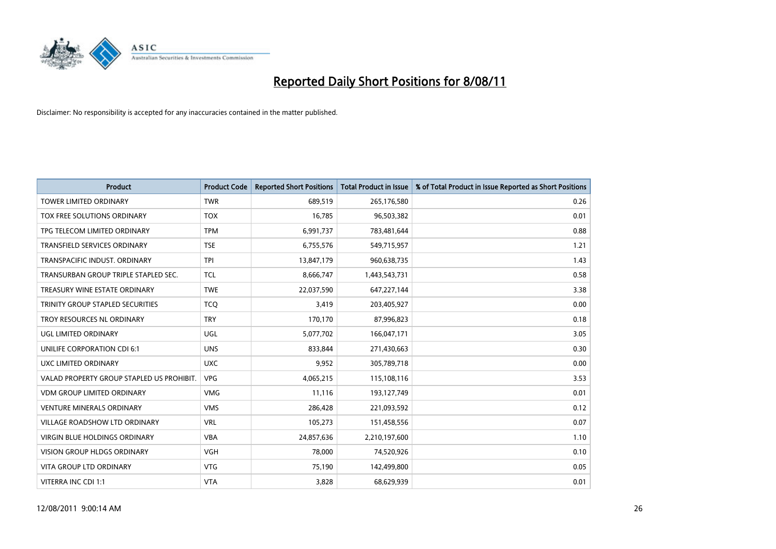

| <b>Product</b>                            | <b>Product Code</b> | <b>Reported Short Positions</b> | <b>Total Product in Issue</b> | % of Total Product in Issue Reported as Short Positions |
|-------------------------------------------|---------------------|---------------------------------|-------------------------------|---------------------------------------------------------|
| <b>TOWER LIMITED ORDINARY</b>             | <b>TWR</b>          | 689,519                         | 265,176,580                   | 0.26                                                    |
| TOX FREE SOLUTIONS ORDINARY               | <b>TOX</b>          | 16,785                          | 96,503,382                    | 0.01                                                    |
| TPG TELECOM LIMITED ORDINARY              | <b>TPM</b>          | 6,991,737                       | 783,481,644                   | 0.88                                                    |
| TRANSFIELD SERVICES ORDINARY              | <b>TSE</b>          | 6,755,576                       | 549,715,957                   | 1.21                                                    |
| TRANSPACIFIC INDUST, ORDINARY             | <b>TPI</b>          | 13,847,179                      | 960,638,735                   | 1.43                                                    |
| TRANSURBAN GROUP TRIPLE STAPLED SEC.      | <b>TCL</b>          | 8,666,747                       | 1,443,543,731                 | 0.58                                                    |
| TREASURY WINE ESTATE ORDINARY             | <b>TWE</b>          | 22,037,590                      | 647,227,144                   | 3.38                                                    |
| TRINITY GROUP STAPLED SECURITIES          | <b>TCO</b>          | 3,419                           | 203,405,927                   | 0.00                                                    |
| TROY RESOURCES NL ORDINARY                | <b>TRY</b>          | 170,170                         | 87,996,823                    | 0.18                                                    |
| UGL LIMITED ORDINARY                      | <b>UGL</b>          | 5,077,702                       | 166,047,171                   | 3.05                                                    |
| UNILIFE CORPORATION CDI 6:1               | <b>UNS</b>          | 833,844                         | 271,430,663                   | 0.30                                                    |
| UXC LIMITED ORDINARY                      | <b>UXC</b>          | 9,952                           | 305,789,718                   | 0.00                                                    |
| VALAD PROPERTY GROUP STAPLED US PROHIBIT. | <b>VPG</b>          | 4,065,215                       | 115,108,116                   | 3.53                                                    |
| <b>VDM GROUP LIMITED ORDINARY</b>         | <b>VMG</b>          | 11,116                          | 193,127,749                   | 0.01                                                    |
| <b>VENTURE MINERALS ORDINARY</b>          | <b>VMS</b>          | 286,428                         | 221,093,592                   | 0.12                                                    |
| <b>VILLAGE ROADSHOW LTD ORDINARY</b>      | <b>VRL</b>          | 105,273                         | 151,458,556                   | 0.07                                                    |
| VIRGIN BLUE HOLDINGS ORDINARY             | <b>VBA</b>          | 24,857,636                      | 2,210,197,600                 | 1.10                                                    |
| VISION GROUP HLDGS ORDINARY               | <b>VGH</b>          | 78,000                          | 74,520,926                    | 0.10                                                    |
| <b>VITA GROUP LTD ORDINARY</b>            | <b>VTG</b>          | 75,190                          | 142,499,800                   | 0.05                                                    |
| VITERRA INC CDI 1:1                       | <b>VTA</b>          | 3,828                           | 68,629,939                    | 0.01                                                    |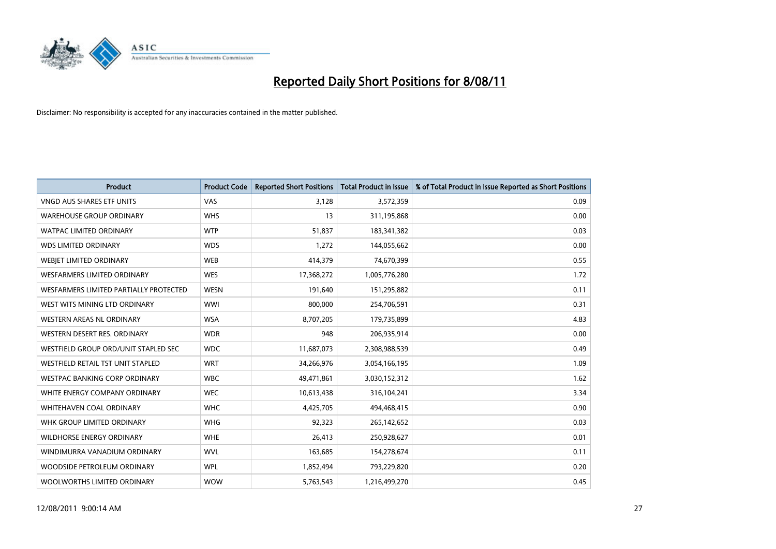

| <b>Product</b>                           | <b>Product Code</b> | <b>Reported Short Positions</b> | <b>Total Product in Issue</b> | % of Total Product in Issue Reported as Short Positions |
|------------------------------------------|---------------------|---------------------------------|-------------------------------|---------------------------------------------------------|
| <b>VNGD AUS SHARES ETF UNITS</b>         | VAS                 | 3,128                           | 3,572,359                     | 0.09                                                    |
| <b>WAREHOUSE GROUP ORDINARY</b>          | <b>WHS</b>          | 13                              | 311,195,868                   | 0.00                                                    |
| <b>WATPAC LIMITED ORDINARY</b>           | <b>WTP</b>          | 51,837                          | 183,341,382                   | 0.03                                                    |
| <b>WDS LIMITED ORDINARY</b>              | <b>WDS</b>          | 1,272                           | 144,055,662                   | 0.00                                                    |
| WEBJET LIMITED ORDINARY                  | <b>WEB</b>          | 414,379                         | 74,670,399                    | 0.55                                                    |
| <b>WESFARMERS LIMITED ORDINARY</b>       | <b>WES</b>          | 17,368,272                      | 1,005,776,280                 | 1.72                                                    |
| WESFARMERS LIMITED PARTIALLY PROTECTED   | <b>WESN</b>         | 191,640                         | 151,295,882                   | 0.11                                                    |
| WEST WITS MINING LTD ORDINARY            | <b>WWI</b>          | 800,000                         | 254,706,591                   | 0.31                                                    |
| WESTERN AREAS NL ORDINARY                | <b>WSA</b>          | 8,707,205                       | 179,735,899                   | 4.83                                                    |
| WESTERN DESERT RES. ORDINARY             | <b>WDR</b>          | 948                             | 206,935,914                   | 0.00                                                    |
| WESTFIELD GROUP ORD/UNIT STAPLED SEC     | <b>WDC</b>          | 11,687,073                      | 2,308,988,539                 | 0.49                                                    |
| <b>WESTFIELD RETAIL TST UNIT STAPLED</b> | <b>WRT</b>          | 34,266,976                      | 3,054,166,195                 | 1.09                                                    |
| WESTPAC BANKING CORP ORDINARY            | <b>WBC</b>          | 49,471,861                      | 3,030,152,312                 | 1.62                                                    |
| WHITE ENERGY COMPANY ORDINARY            | <b>WEC</b>          | 10,613,438                      | 316,104,241                   | 3.34                                                    |
| WHITEHAVEN COAL ORDINARY                 | <b>WHC</b>          | 4,425,705                       | 494,468,415                   | 0.90                                                    |
| WHK GROUP LIMITED ORDINARY               | <b>WHG</b>          | 92,323                          | 265,142,652                   | 0.03                                                    |
| WILDHORSE ENERGY ORDINARY                | <b>WHE</b>          | 26,413                          | 250,928,627                   | 0.01                                                    |
| WINDIMURRA VANADIUM ORDINARY             | <b>WVL</b>          | 163,685                         | 154,278,674                   | 0.11                                                    |
| WOODSIDE PETROLEUM ORDINARY              | <b>WPL</b>          | 1,852,494                       | 793,229,820                   | 0.20                                                    |
| WOOLWORTHS LIMITED ORDINARY              | <b>WOW</b>          | 5,763,543                       | 1,216,499,270                 | 0.45                                                    |